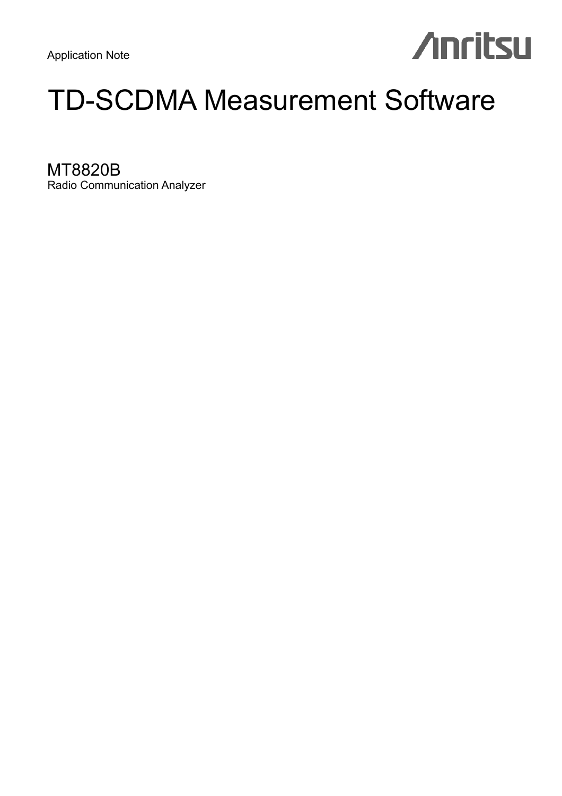# **Anritsu**

# TD-SCDMA Measurement Software

MT8820B Radio Communication Analyzer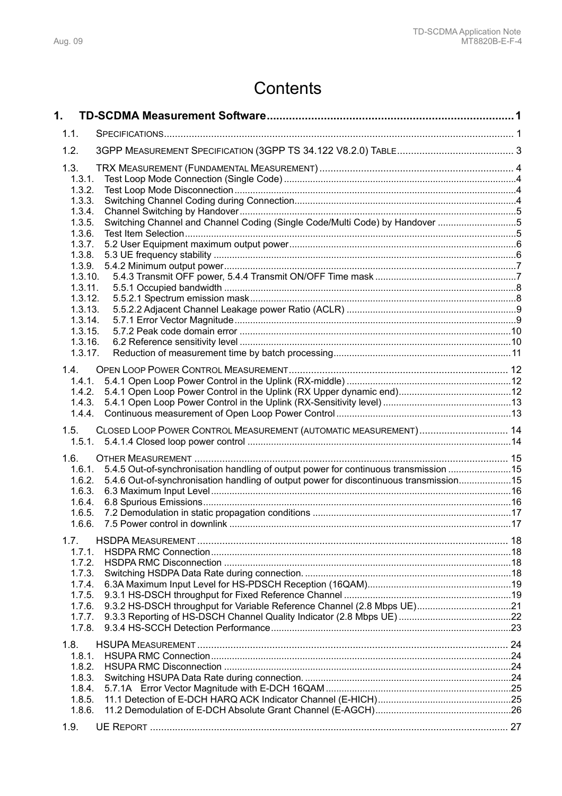# **Contents**

| 1.                                                                                   |                                                                                                                                                                                |  |
|--------------------------------------------------------------------------------------|--------------------------------------------------------------------------------------------------------------------------------------------------------------------------------|--|
| 1.1.                                                                                 |                                                                                                                                                                                |  |
| 1.2.                                                                                 |                                                                                                                                                                                |  |
| 1.3.<br>1.3.1.<br>1.3.2.                                                             |                                                                                                                                                                                |  |
| 1.3.3.<br>1.3.4.<br>1.3.5.                                                           | Switching Channel and Channel Coding (Single Code/Multi Code) by Handover 5                                                                                                    |  |
| 1.3.6.<br>1.3.7.<br>1.3.8.                                                           |                                                                                                                                                                                |  |
| 1.3.9.                                                                               | 1.3.10.<br>1.3.11.                                                                                                                                                             |  |
|                                                                                      | 1.3.12.<br>1.3.13.<br>1.3.14.<br>1.3.15.                                                                                                                                       |  |
|                                                                                      | 1.3.16.<br>1.3.17.                                                                                                                                                             |  |
| 1.4.<br>1.4.2.<br>1.4.3.<br>1.4.4.                                                   | 1.4.1.                                                                                                                                                                         |  |
| 1.5.                                                                                 | CLOSED LOOP POWER CONTROL MEASUREMENT (AUTOMATIC MEASUREMENT) 14<br>1.5.1.                                                                                                     |  |
| 1.6.<br>1.6.1.<br>1.6.2.<br>1.6.3.<br>1.6.4.<br>1.6.5.<br>1.6.6.                     | 5.4.5 Out-of-synchronisation handling of output power for continuous transmission 15<br>5.4.6 Out-of-synchronisation handling of output power for discontinuous transmission15 |  |
| 1.7.<br>1.7.1.<br>1.7.2.<br>1.7.3.<br>1.7.4.<br>1.7.5.<br>1.7.6.<br>1.7.7.<br>1.7.8. |                                                                                                                                                                                |  |
| 1.8.<br>1.8.1.<br>1.8.2.<br>1.8.3.<br>1.8.4.<br>1.8.5.<br>1.8.6.                     |                                                                                                                                                                                |  |
| 1.9.                                                                                 |                                                                                                                                                                                |  |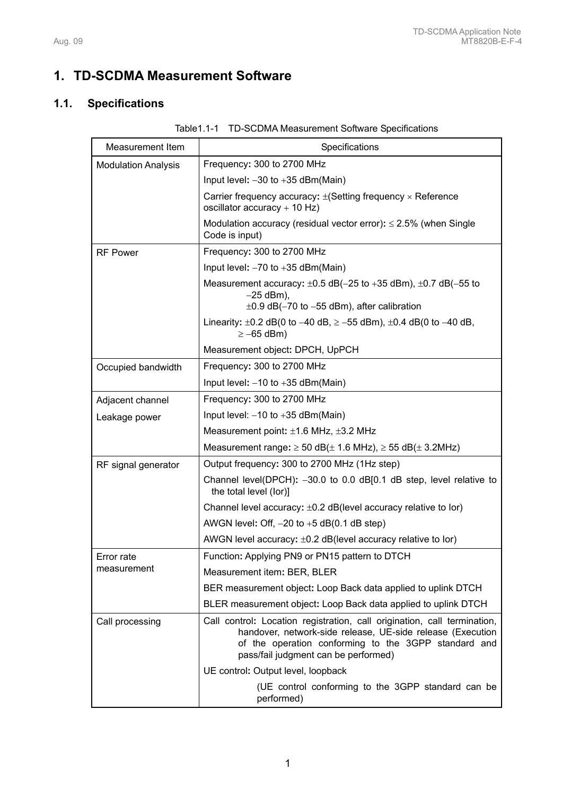# **1. TD-SCDMA Measurement Software**

# **1.1. Specifications**

| <b>Measurement Item</b>    | Specifications                                                                                                                                                                                                                         |
|----------------------------|----------------------------------------------------------------------------------------------------------------------------------------------------------------------------------------------------------------------------------------|
| <b>Modulation Analysis</b> | Frequency: 300 to 2700 MHz                                                                                                                                                                                                             |
|                            | Input level: $-30$ to $+35$ dBm(Main)                                                                                                                                                                                                  |
|                            | Carrier frequency accuracy: $\pm$ (Setting frequency $\times$ Reference<br>oscillator accuracy $+$ 10 Hz)                                                                                                                              |
|                            | Modulation accuracy (residual vector error): $\leq$ 2.5% (when Single<br>Code is input)                                                                                                                                                |
| <b>RF Power</b>            | Frequency: 300 to 2700 MHz                                                                                                                                                                                                             |
|                            | Input level: $-70$ to $+35$ dBm(Main)                                                                                                                                                                                                  |
|                            | Measurement accuracy: $\pm 0.5$ dB(-25 to +35 dBm), $\pm 0.7$ dB(-55 to<br>$-25$ dBm),<br>$\pm 0.9$ dB(-70 to -55 dBm), after calibration                                                                                              |
|                            | Linearity: $\pm 0.2$ dB(0 to -40 dB, $\ge$ -55 dBm), $\pm 0.4$ dB(0 to -40 dB,<br>$\ge -65$ dBm)                                                                                                                                       |
|                            | Measurement object: DPCH, UpPCH                                                                                                                                                                                                        |
| Occupied bandwidth         | Frequency: 300 to 2700 MHz                                                                                                                                                                                                             |
|                            | Input level: $-10$ to $+35$ dBm(Main)                                                                                                                                                                                                  |
| Adjacent channel           | Frequency: 300 to 2700 MHz                                                                                                                                                                                                             |
| Leakage power              | Input level: $-10$ to $+35$ dBm(Main)                                                                                                                                                                                                  |
|                            | Measurement point: $\pm$ 1.6 MHz, $\pm$ 3.2 MHz                                                                                                                                                                                        |
|                            | Measurement range: $\geq$ 50 dB( $\pm$ 1.6 MHz), $\geq$ 55 dB( $\pm$ 3.2MHz)                                                                                                                                                           |
| RF signal generator        | Output frequency: 300 to 2700 MHz (1Hz step)                                                                                                                                                                                           |
|                            | Channel level(DPCH): $-30.0$ to 0.0 dB[0.1 dB step, level relative to<br>the total level (lor)]                                                                                                                                        |
|                            | Channel level accuracy: $\pm 0.2$ dB(level accuracy relative to lor)                                                                                                                                                                   |
|                            | AWGN level: Off, $-20$ to $+5$ dB(0.1 dB step)                                                                                                                                                                                         |
|                            | AWGN level accuracy: $\pm 0.2$ dB(level accuracy relative to lor)                                                                                                                                                                      |
| Error rate                 | Function: Applying PN9 or PN15 pattern to DTCH                                                                                                                                                                                         |
| measurement                | Measurement item: BER, BLER                                                                                                                                                                                                            |
|                            | BER measurement object: Loop Back data applied to uplink DTCH                                                                                                                                                                          |
|                            | BLER measurement object: Loop Back data applied to uplink DTCH                                                                                                                                                                         |
| Call processing            | Call control: Location registration, call origination, call termination,<br>handover, network-side release, UE-side release (Execution<br>of the operation conforming to the 3GPP standard and<br>pass/fail judgment can be performed) |
|                            | UE control: Output level, loopback                                                                                                                                                                                                     |
|                            | (UE control conforming to the 3GPP standard can be<br>performed)                                                                                                                                                                       |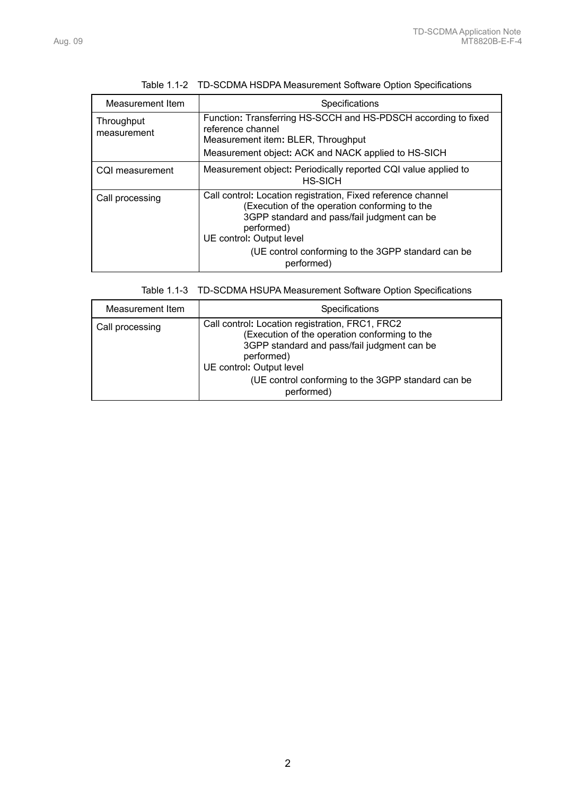| Measurement Item          | Specifications                                                                                                                                                                                                                                                             |
|---------------------------|----------------------------------------------------------------------------------------------------------------------------------------------------------------------------------------------------------------------------------------------------------------------------|
| Throughput<br>measurement | Function: Transferring HS-SCCH and HS-PDSCH according to fixed<br>reference channel<br>Measurement item: BLER, Throughput<br>Measurement object: ACK and NACK applied to HS-SICH                                                                                           |
| CQI measurement           | Measurement object: Periodically reported CQI value applied to<br><b>HS-SICH</b>                                                                                                                                                                                           |
| Call processing           | Call control: Location registration, Fixed reference channel<br>(Execution of the operation conforming to the<br>3GPP standard and pass/fail judgment can be<br>performed)<br>UE control: Output level<br>(UE control conforming to the 3GPP standard can be<br>performed) |

| Table 1.1-2 TD-SCDMA HSDPA Measurement Software Option Specifications |  |
|-----------------------------------------------------------------------|--|
|                                                                       |  |

Table 1.1-3 TD-SCDMA HSUPA Measurement Software Option Specifications

| Measurement Item | <b>Specifications</b>                                                                                                                                                                                                                                         |
|------------------|---------------------------------------------------------------------------------------------------------------------------------------------------------------------------------------------------------------------------------------------------------------|
| Call processing  | Call control: Location registration, FRC1, FRC2<br>(Execution of the operation conforming to the<br>3GPP standard and pass/fail judgment can be<br>performed)<br>UE control: Output level<br>(UE control conforming to the 3GPP standard can be<br>performed) |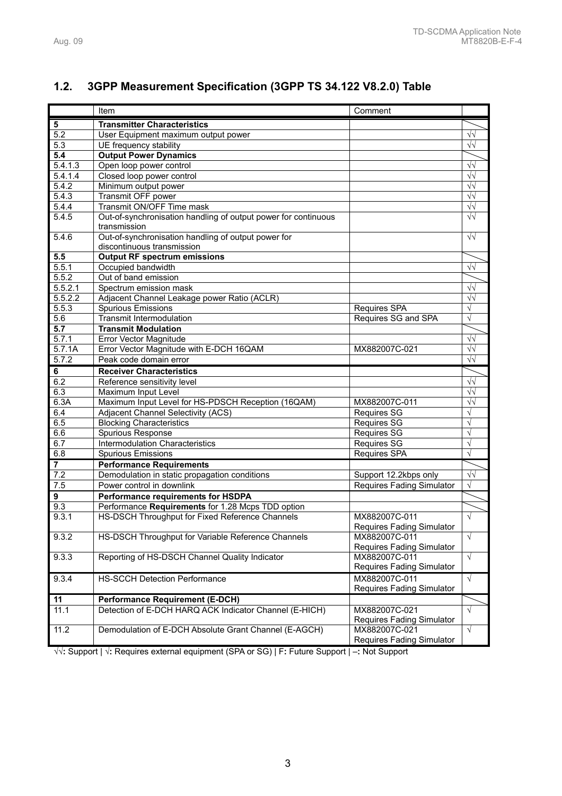# **1.2. 3GPP Measurement Specification (3GPP TS 34.122 V8.2.0) Table**  Item **International Comment** Comment **5 Transmitter Characteristics**

| ${\bf 5}$               | <b>Transmitter Characteristics</b>                             |                                                   |            |
|-------------------------|----------------------------------------------------------------|---------------------------------------------------|------------|
| 5.2                     | User Equipment maximum output power                            |                                                   | $\sqrt{v}$ |
| 5.3                     | UE frequency stability                                         |                                                   | $\sqrt{2}$ |
| 5.4                     | <b>Output Power Dynamics</b>                                   |                                                   |            |
| 5.4.1.3                 | Open loop power control                                        |                                                   | $\sqrt{2}$ |
| 5.4.1.4                 | Closed loop power control                                      |                                                   | $\sqrt{2}$ |
| 5.4.2                   | Minimum output power                                           |                                                   | $\sqrt{2}$ |
| 5.4.3                   | Transmit OFF power                                             |                                                   | $\sqrt{2}$ |
| 5.4.4                   | Transmit ON/OFF Time mask                                      |                                                   | $\sqrt{2}$ |
| 5.4.5                   | Out-of-synchronisation handling of output power for continuous |                                                   | $\sqrt{2}$ |
|                         | transmission                                                   |                                                   |            |
| 5.4.6                   | Out-of-synchronisation handling of output power for            |                                                   | $\sqrt{2}$ |
|                         | discontinuous transmission                                     |                                                   |            |
| 5.5                     | <b>Output RF spectrum emissions</b>                            |                                                   |            |
| 5.5.1                   | Occupied bandwidth                                             |                                                   | $\sqrt{2}$ |
| 5.5.2                   | Out of band emission                                           |                                                   |            |
| 5.5.2.1                 | Spectrum emission mask                                         |                                                   | $\sqrt{v}$ |
| 5.5.2.2                 | Adjacent Channel Leakage power Ratio (ACLR)                    |                                                   | $\sqrt{v}$ |
| 5.5.3                   | <b>Spurious Emissions</b>                                      | Requires SPA                                      | $\sqrt{}$  |
| 5.6                     | <b>Transmit Intermodulation</b>                                | Requires SG and SPA                               | $\sqrt{}$  |
| $\overline{5.7}$        | <b>Transmit Modulation</b>                                     |                                                   |            |
| 5.7.1                   | Error Vector Magnitude                                         |                                                   | $\sqrt{2}$ |
| 5.7.1A                  | Error Vector Magnitude with E-DCH 16QAM                        | MX882007C-021                                     | $\sqrt{2}$ |
| 5.7.2                   | Peak code domain error                                         |                                                   | $\sqrt{2}$ |
| 6                       | <b>Receiver Characteristics</b>                                |                                                   |            |
| 6.2                     | Reference sensitivity level                                    |                                                   | $\sqrt{2}$ |
| 6.3                     | Maximum Input Level                                            |                                                   | $\sqrt{2}$ |
| 6.3A                    | Maximum Input Level for HS-PDSCH Reception (16QAM)             | MX882007C-011                                     | $\sqrt{2}$ |
| 6.4                     | Adjacent Channel Selectivity (ACS)                             | <b>Requires SG</b>                                |            |
| 6.5                     | <b>Blocking Characteristics</b>                                | <b>Requires SG</b>                                | $\sqrt{}$  |
| 6.6                     | Spurious Response                                              | <b>Requires SG</b>                                | $\sqrt{ }$ |
| 6.7                     | <b>Intermodulation Characteristics</b>                         | <b>Requires SG</b>                                | $\sqrt{}$  |
| 6.8                     | <b>Spurious Emissions</b>                                      | Requires SPA                                      | $\sqrt{ }$ |
| $\overline{\mathbf{7}}$ | <b>Performance Requirements</b>                                |                                                   |            |
| 7.2                     | Demodulation in static propagation conditions                  | Support 12.2kbps only                             | $\sqrt{v}$ |
| 7.5                     | Power control in downlink                                      | <b>Requires Fading Simulator</b>                  | $\sqrt{ }$ |
| $\overline{9}$          | Performance requirements for HSDPA                             |                                                   |            |
| 9.3                     | Performance Requirements for 1.28 Mcps TDD option              |                                                   |            |
| 9.3.1                   | HS-DSCH Throughput for Fixed Reference Channels                | MX882007C-011                                     | $\sqrt{ }$ |
|                         |                                                                | <b>Requires Fading Simulator</b>                  |            |
| 9.3.2                   | HS-DSCH Throughput for Variable Reference Channels             | MX882007C-011                                     | $\sqrt{}$  |
|                         |                                                                | Requires Fading Simulator                         |            |
| 9.3.3                   | Reporting of HS-DSCH Channel Quality Indicator                 | MX882007C-011                                     | $\sqrt{ }$ |
|                         |                                                                | <b>Requires Fading Simulator</b>                  |            |
| 9.3.4                   | <b>HS-SCCH Detection Performance</b>                           |                                                   | $\sqrt{ }$ |
|                         |                                                                | MX882007C-011<br><b>Requires Fading Simulator</b> |            |
|                         |                                                                |                                                   |            |
| 11                      | <b>Performance Requirement (E-DCH)</b>                         |                                                   |            |
| 11.1                    | Detection of E-DCH HARQ ACK Indicator Channel (E-HICH)         | MX882007C-021                                     | $\sqrt{}$  |
|                         |                                                                | Requires Fading Simulator<br>MX882007C-021        | $\sqrt{}$  |
| 11.2                    | Demodulation of E-DCH Absolute Grant Channel (E-AGCH)          |                                                   |            |
|                         |                                                                | Requires Fading Simulator                         |            |

√√**:** Support | √**:** Requires external equipment (SPA or SG) | F**:** Future Support | –**:** Not Support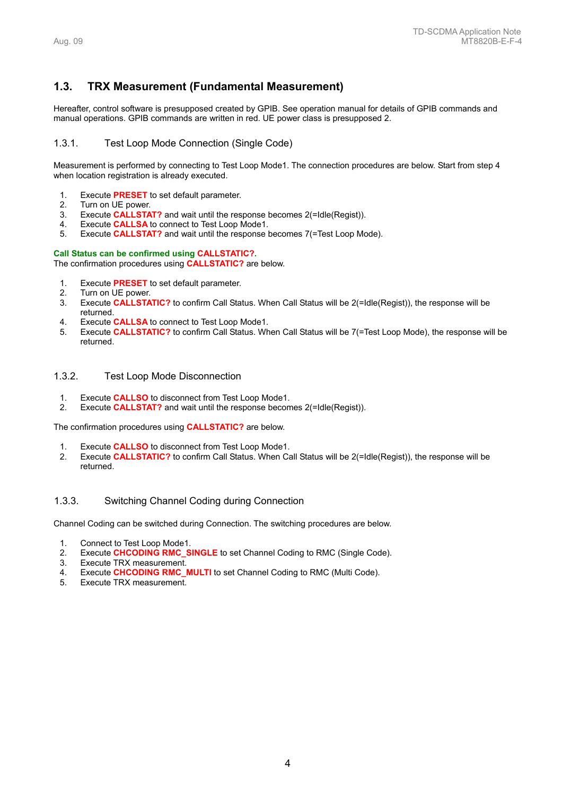# **1.3. TRX Measurement (Fundamental Measurement)**

Hereafter, control software is presupposed created by GPIB. See operation manual for details of GPIB commands and manual operations. GPIB commands are written in red. UE power class is presupposed 2.

# 1.3.1. Test Loop Mode Connection (Single Code)

Measurement is performed by connecting to Test Loop Mode1. The connection procedures are below. Start from step 4 when location registration is already executed.

- 1. Execute **PRESET** to set default parameter.
- 2. Turn on UE power.
- 3. Execute **CALLSTAT?** and wait until the response becomes 2(=Idle(Regist)).
- 4. Execute **CALLSA** to connect to Test Loop Mode1.
- 5. Execute **CALLSTAT?** and wait until the response becomes 7(=Test Loop Mode).

#### **Call Status can be confirmed using CALLSTATIC?.**

The confirmation procedures using **CALLSTATIC?** are below.

- 1. Execute **PRESET** to set default parameter.
- 2. Turn on UE power.
- 3. Execute **CALLSTATIC?** to confirm Call Status. When Call Status will be 2(=Idle(Regist)), the response will be returned.
- 4. Execute **CALLSA** to connect to Test Loop Mode1.
- 5. Execute **CALLSTATIC?** to confirm Call Status. When Call Status will be 7(=Test Loop Mode), the response will be returned.

#### 1.3.2. Test Loop Mode Disconnection

- 1. Execute **CALLSO** to disconnect from Test Loop Mode1.
- 2. Execute **CALLSTAT?** and wait until the response becomes 2(=Idle(Regist)).

The confirmation procedures using **CALLSTATIC?** are below.

- 1. Execute **CALLSO** to disconnect from Test Loop Mode1.
- 2. Execute **CALLSTATIC?** to confirm Call Status. When Call Status will be 2(=Idle(Regist)), the response will be returned.

#### 1.3.3. Switching Channel Coding during Connection

Channel Coding can be switched during Connection. The switching procedures are below.

- 1. Connect to Test Loop Mode1.
- 2. Execute **CHCODING RMC\_SINGLE** to set Channel Coding to RMC (Single Code).
- 3. Execute TRX measurement.
- 4. Execute **CHCODING RMC\_MULTI** to set Channel Coding to RMC (Multi Code).
- 5. Execute TRX measurement.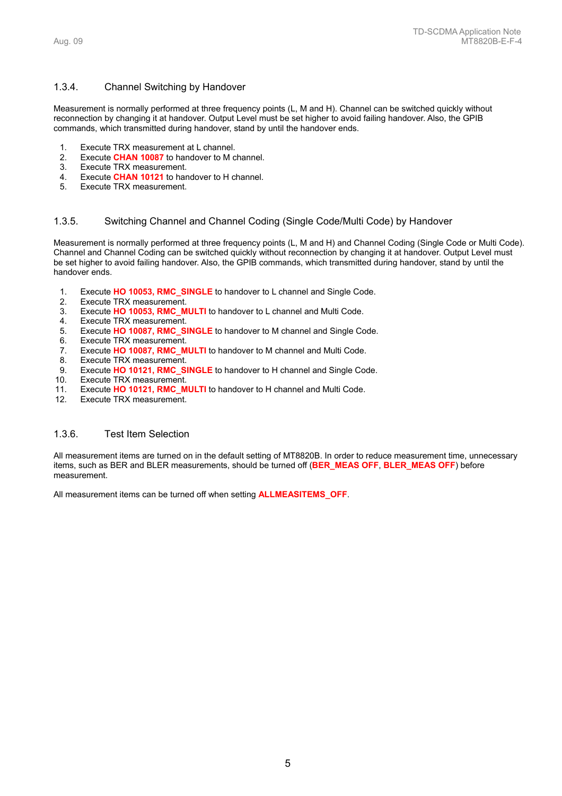#### 1.3.4. Channel Switching by Handover

Measurement is normally performed at three frequency points (L, M and H). Channel can be switched quickly without reconnection by changing it at handover. Output Level must be set higher to avoid failing handover. Also, the GPIB commands, which transmitted during handover, stand by until the handover ends.

- Execute TRX measurement at L channel.
- 2. Execute **CHAN 10087** to handover to M channel.
- 3. Execute TRX measurement.
- 4. Execute **CHAN 10121** to handover to H channel.
- Execute TRX measurement.

#### 1.3.5. Switching Channel and Channel Coding (Single Code/Multi Code) by Handover

Measurement is normally performed at three frequency points (L, M and H) and Channel Coding (Single Code or Multi Code). Channel and Channel Coding can be switched quickly without reconnection by changing it at handover. Output Level must be set higher to avoid failing handover. Also, the GPIB commands, which transmitted during handover, stand by until the handover ends.

- 1. Execute **HO 10053, RMC\_SINGLE** to handover to L channel and Single Code.
- 2. Execute TRX measurement.<br>3. Execute HO 10053, RMC M
- Execute **HO 10053, RMC\_MULTI** to handover to L channel and Multi Code.
- 4. Execute TRX measurement.
- 5. Execute **HO 10087, RMC\_SINGLE** to handover to M channel and Single Code.
- Execute TRX measurement.
- 7. Execute **HO 10087, RMC\_MULTI** to handover to M channel and Multi Code.
- 8. Execute TRX measurement. 9. Execute **HO 10121, RMC\_SINGLE** to handover to H channel and Single Code.
- 10. Execute TRX measurement.
- 11. Execute **HO 10121, RMC\_MULTI** to handover to H channel and Multi Code.
- 12. Execute TRX measurement.

#### 1.3.6. Test Item Selection

All measurement items are turned on in the default setting of MT8820B. In order to reduce measurement time, unnecessary items, such as BER and BLER measurements, should be turned off (**BER\_MEAS OFF**, **BLER\_MEAS OFF**) before measurement.

All measurement items can be turned off when setting **ALLMEASITEMS\_OFF**.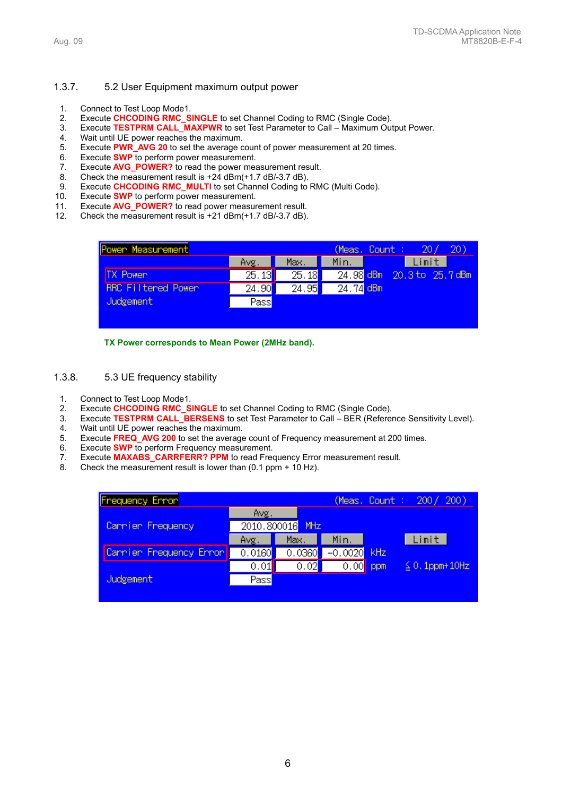# 1.3.7. 5.2 User Equipment maximum output power

- 1. Connect to Test Loop Mode1.
- 2. Execute **CHCODING RMC\_SINGLE** to set Channel Coding to RMC (Single Code).
- 3. Execute **TESTPRM CALL\_MAXPWR** to set Test Parameter to Call Maximum Output Power.
- 4. Wait until UE power reaches the maximum.
- 5. Execute **PWR\_AVG 20** to set the average count of power measurement at 20 times.
- 6. Execute **SWP** to perform power measurement.
- 7. Execute **AVG\_POWER?** to read the power measurement result.
- 8. Check the measurement result is +24 dBm(+1.7 dB/-3.7 dB).<br>9. Execute CHCODING RMC\_MULTI to set Channel Coding to
- Execute **CHCODING RMC\_MULTI** to set Channel Coding to RMC (Multi Code).
- 10. Execute **SWP** to perform power measurement.
- 11. Execute **AVG\_POWER?** to read power measurement result.
- 12. Check the measurement result is +21 dBm(+1.7 dB/-3.7 dB).

| Power Measurement  |          |       | (Meas, Count : I | 20/                        | 20) |
|--------------------|----------|-------|------------------|----------------------------|-----|
|                    | Avg.     | Max.  | Min.             | Limit                      |     |
| <b>TX Power</b>    | [25, 13] | 25.18 |                  | 24.98 dBm 20.3 to 25.7 dBm |     |
| RRC Filtered Power | 24.90    | 24.95 | $24.74$ dBm      |                            |     |
| Judgement          | Pass     |       |                  |                            |     |
|                    |          |       |                  |                            |     |
|                    |          |       |                  |                            |     |

**TX Power corresponds to Mean Power (2MHz band).** 

- 1.3.8. 5.3 UE frequency stability
	- 1. Connect to Test Loop Mode1.
	- 2. Execute **CHCODING RMC\_SINGLE** to set Channel Coding to RMC (Single Code).
	- 3. Execute **TESTPRM CALL\_BERSENS** to set Test Parameter to Call BER (Reference Sensitivity Level).<br>4. Wait until UF power reaches the maximum.
	- Wait until UE power reaches the maximum.
	- 5. Execute **FREQ\_AVG 200** to set the average count of Frequency measurement at 200 times.
	- 6. Execute **SWP** to perform Frequency measurement.
	- 7. Execute **MAXABS\_CARRFERR? PPM** to read Frequency Error measurement result.
	- 8. Check the measurement result is lower than (0.1 ppm + 10 Hz).

| <b>Frequency Error</b>  |        | 200)<br>(Meas, Count : $200/$ |               |                     |
|-------------------------|--------|-------------------------------|---------------|---------------------|
|                         | Avg.   |                               |               |                     |
| Cannier Frequency       |        | 2010.800016 MHz               |               |                     |
|                         | Avg.   | Max.                          | Min.          | Limit               |
| Carrier Frequency Error | 0.0160 | 0.0360                        | $-0.0020$ kHz |                     |
|                         | 0.01   | 0.02                          | $0.00$ ppm    | $\leq 0.1$ ppm+10Hz |
| Judgement               | Pass   |                               |               |                     |
|                         |        |                               |               |                     |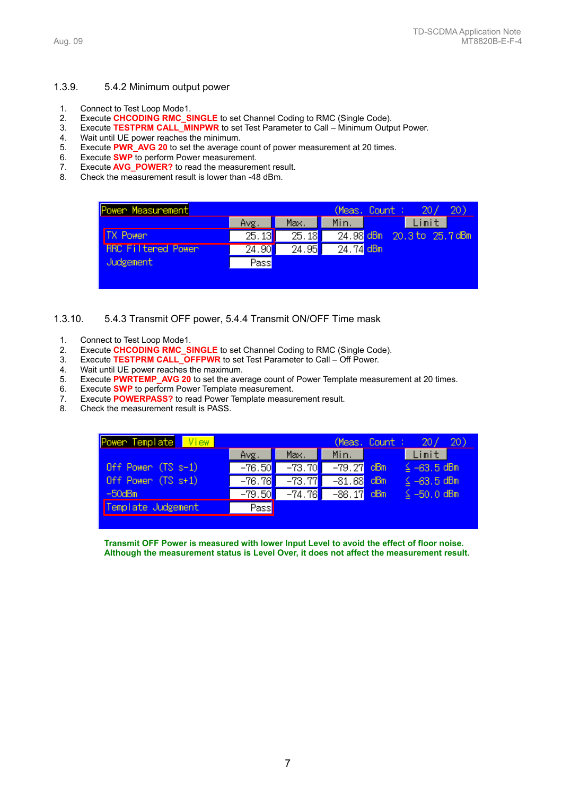#### 1.3.9. 5.4.2 Minimum output power

- 1. Connect to Test Loop Mode1.
- 2. Execute **CHCODING RMC\_SINGLE** to set Channel Coding to RMC (Single Code).
- 3. Execute **TESTPRM CALL\_MINPWR** to set Test Parameter to Call Minimum Output Power.
- 
- 4. Wait until UE power reaches the minimum.<br>5. Execute **PWR AVG 20** to set the average of Execute **PWR\_AVG 20** to set the average count of power measurement at 20 times.
- 6. Execute **SWP** to perform Power measurement.
- 7. Execute **AVG\_POWER?** to read the measurement result.
- 8. Check the measurement result is lower than -48 dBm.

| Power Measurement         |                    |                    | (Meas, Count : | 20)<br>20/                 |
|---------------------------|--------------------|--------------------|----------------|----------------------------|
|                           | Avg.               | Max.               | Min.           | Limit                      |
| <b>TX Power</b>           | $\overline{25.13}$ | 25.18              |                | 24.98 dBm 20.3 to 25.7 dBm |
| <b>RRC Filtered Power</b> | 24.90              | $\overline{24.95}$ | $24.74$ dBm    |                            |
| Judgement                 | Pass               |                    |                |                            |
|                           |                    |                    |                |                            |

#### 1.3.10. 5.4.3 Transmit OFF power, 5.4.4 Transmit ON/OFF Time mask

- 1. Connect to Test Loop Mode1.
- 2. Execute **CHCODING RMC\_SINGLE** to set Channel Coding to RMC (Single Code).
- 3. Execute **TESTPRM CALL\_OFFPWR** to set Test Parameter to Call Off Power.<br>4. Wait until UE power reaches the maximum.
- Wait until UE power reaches the maximum.
- 5. Execute **PWRTEMP\_AVG 20** to set the average count of Power Template measurement at 20 times.
- 6. Execute **SWP** to perform Power Template measurement.
- 7. Execute **POWERPASS?** to read Power Template measurement result.
- 8. Check the measurement result is PASS.

| Power Template View  |          |          |              | (Meas, Count : I | 20/<br><b>20</b> ) |
|----------------------|----------|----------|--------------|------------------|--------------------|
|                      | Avg.     | Max.     | Min.         |                  | Limit              |
| Off Power $(TS s-1)$ | $-76.50$ | $-73.70$ | $-79.27$ dBm |                  | $\leq -63.5$ dBm   |
| Off Power $(TS s+1)$ | $-76.76$ | $-73.77$ | $-81.68$     | dBm              | $\leq -63.5$ dBm   |
| $-50$ d $Bm$         | $-79.50$ | $-74.76$ | $-86.17$     | -dBm             | $\leq -50, 0$ dBm  |
| Template Judgement   | Pass     |          |              |                  |                    |
|                      |          |          |              |                  |                    |

**Transmit OFF Power is measured with lower Input Level to avoid the effect of floor noise. Although the measurement status is Level Over, it does not affect the measurement result.**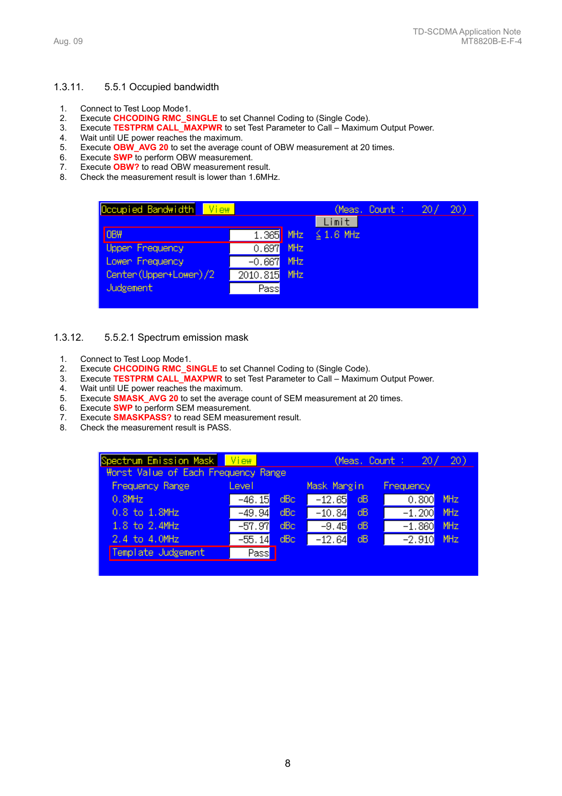# 1.3.11. 5.5.1 Occupied bandwidth

- 1. Connect to Test Loop Mode1.
- 2. Execute **CHCODING RMC\_SINGLE** to set Channel Coding to (Single Code).
- 3. Execute **TESTPRM CALL\_MAXPWR** to set Test Parameter to Call Maximum Output Power.
- 
- 4. Wait until UE power reaches the maximum.<br>5. Execute **OBW AVG 20** to set the average of 5. Execute **OBW\_AVG 20** to set the average count of OBW measurement at 20 times.
- 6. Execute **SWP** to perform OBW measurement.
- 
- 7. Execute **OBW?** to read OBW measurement result.<br>8. Check the measurement result is lower than 1.6MH Check the measurement result is lower than 1.6MHz.

| Occupied Bandwidth<br>View |           | (Meas, Count : ) | 20/            | 20) |  |  |
|----------------------------|-----------|------------------|----------------|-----|--|--|
|                            |           |                  | Limit          |     |  |  |
| OBW                        | 1.365 MHz |                  | $\leq$ 1.6 MHz |     |  |  |
| <b>Uppen Frequency</b>     | 0.697     | <b>MHz</b>       |                |     |  |  |
| Lowen Frequency            | $-0.667$  | <b>MHz</b>       |                |     |  |  |
| Center (Upper+Lower) /2    | 2010.815  | MHz              |                |     |  |  |
| Judgement                  | Pass      |                  |                |     |  |  |
|                            |           |                  |                |     |  |  |

#### 1.3.12. 5.5.2.1 Spectrum emission mask

- 1. Connect to Test Loop Mode1.
- 2. Execute **CHCODING RMC\_SINGLE** to set Channel Coding to (Single Code).
- 3. Execute **TESTPRM CALL\_MAXPWR** to set Test Parameter to Call Maximum Output Power.
- 4. Wait until UE power reaches the maximum.<br>5. Execute **SMASK AVG 20** to set the averag
- 5. Execute **SMASK\_AVG 20** to set the average count of SEM measurement at 20 times.
- 6. Execute **SWP** to perform SEM measurement.
- Execute **SMASKPASS?** to read SEM measurement result.
- 8. Check the measurement result is PASS.

| Spectrum Emission Mask View<br>Worst Value of Each Frequency Range |          |      |             |      | (Meas. Count: $20/$ | 20)        |
|--------------------------------------------------------------------|----------|------|-------------|------|---------------------|------------|
| Frequency Range                                                    | Level    |      | Mask Margin |      | Frequency           |            |
| $0.8$ MHz                                                          | $-46.15$ | dBc. | $-12.65$    | - dB | 0.800               | MHz        |
| 0.8 to 1.8MHz                                                      | $-49.94$ | dBc  | $-10.84$    | dB   | $-1.200$            | <b>MHz</b> |
| 1.8 to 2.4MHz                                                      | $-57.97$ | dBc  | $-9.45$     | dB   | $-1.860$            | <b>MHz</b> |
| 2.4 to 4.0MHz                                                      | $-55.14$ | dBc  | $-12.64$    | dB   | $-2.910$            | MHz        |
| Template Judgement                                                 | Pass     |      |             |      |                     |            |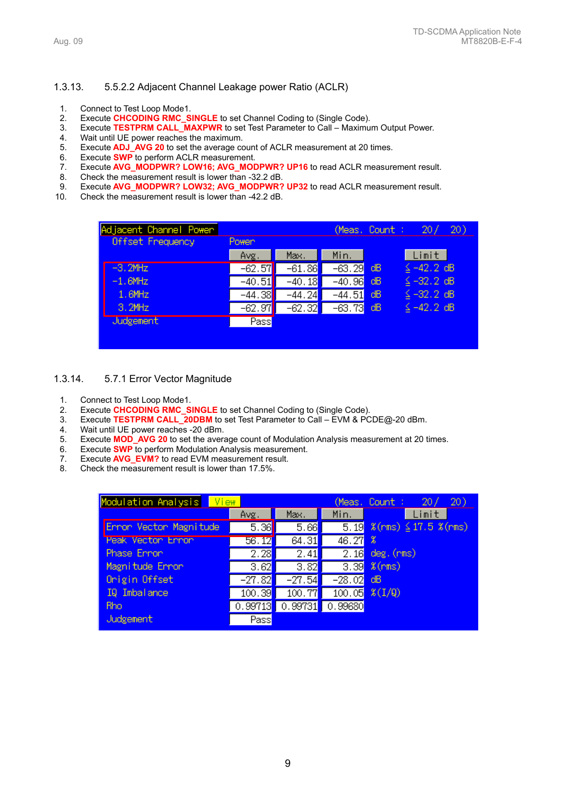#### 1.3.13. 5.5.2.2 Adjacent Channel Leakage power Ratio (ACLR)

- 1. Connect to Test Loop Mode1.
- 2. Execute **CHCODING RMC\_SINGLE** to set Channel Coding to (Single Code).
- 3. Execute **TESTPRM CALL\_MAXPWR** to set Test Parameter to Call Maximum Output Power.
- 4. Wait until UE power reaches the maximum.
- 5. Execute **ADJ\_AVG 20** to set the average count of ACLR measurement at 20 times.
- 6. Execute **SWP** to perform ACLR measurement.
- 7. Execute **AVG\_MODPWR? LOW16; AVG\_MODPWR? UP16** to read ACLR measurement result.
- 8. Check the measurement result is lower than -32.2 dB.
- 9. Execute **AVG\_MODPWR? LOW32; AVG\_MODPWR? UP32** to read ACLR measurement result.
- 10. Check the measurement result is lower than -42.2 dB.

| Adjacent Channel Power |          |          |          | (Meas, Count : | 20 <sub>1</sub> | 20) |
|------------------------|----------|----------|----------|----------------|-----------------|-----|
| Offset Frequency       | Power    |          |          |                |                 |     |
|                        | Avg.     | Max.     | Min.     |                | Limit           |     |
| $-3.2$ MHz             | $-62.57$ | $-61.86$ | $-63.29$ | dB             | $\leq -42.2$ dB |     |
| $-1.6$ MHz             | $-40.51$ | $-40.18$ | $-40.96$ | dB             | $\leq -32.2$ dB |     |
| 1.6MHz                 | $-44.38$ | $-44.24$ | $-44.51$ | dB             | $\leq -32.2$ dB |     |
| 3.2MHz                 | $-62.97$ | $-62.32$ | $-63.73$ | dB             | $\leq -42.2$ dB |     |
| <b>Judgement</b>       | Pass     |          |          |                |                 |     |
|                        |          |          |          |                |                 |     |

#### 1.3.14. 5.7.1 Error Vector Magnitude

- 1. Connect to Test Loop Mode1.
- 2. Execute **CHCODING RMC\_SINGLE** to set Channel Coding to (Single Code).
- 3. Execute **TESTPRM CALL\_20DBM** to set Test Parameter to Call EVM & PCDE@-20 dBm.
- 4. Wait until UE power reaches -20 dBm.<br>5. Execute **MOD\_AVG 20** to set the averal
- 5. Execute **MOD\_AVG 20** to set the average count of Modulation Analysis measurement at 20 times.
- 6. Execute **SWP** to perform Modulation Analysis measurement.
- 7. Execute **AVG\_EVM?** to read EVM measurement result.
- 8. Check the measurement result is lower than 17.5%.

| Modulation Analysis<br>View |                   |                   |                   | 20)<br>20/<br>(Meas, Count :  |
|-----------------------------|-------------------|-------------------|-------------------|-------------------------------|
|                             | Avg.              | Max.              | Min.              | Limit                         |
| Error Vector Magnitude      | 5.36              | 5.66              | 5.19              | $\Im(rms) \leq 17.5 \Im(rms)$ |
| Peak Vector Error           | 56.12             | 64.31             | 46.27             | x                             |
| Phase Error                 | $\overline{2.28}$ | $\overline{2.41}$ | $\overline{2.16}$ | $deg.$ (rms)                  |
| Magnitude Ennon             | 3.62              | $\overline{3.82}$ | $\overline{3.39}$ | $%$ (rms)                     |
| Onigin Offset               | $-27.82$          | $-27.54$          | $-28.02$          | dВ                            |
| IQ Imbalance                | 100.39            | 100.77            | 100.05            | $X(I/\mathbb{Q})$             |
| Rho.                        | 0.99713           | 0.99731           | 0.99680           |                               |
| Judgement                   | Pass              |                   |                   |                               |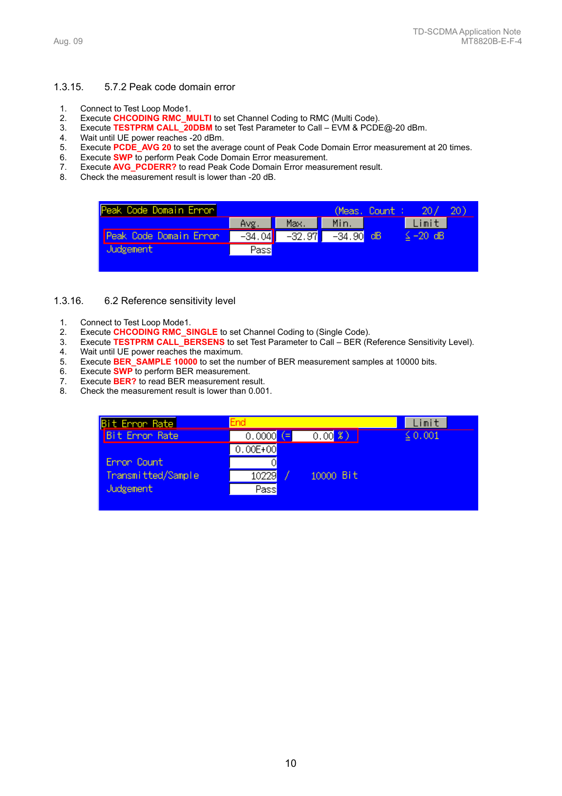#### 1.3.15. 5.7.2 Peak code domain error

- 1. Connect to Test Loop Mode1.
- 2. Execute **CHCODING RMC\_MULTI** to set Channel Coding to RMC (Multi Code).
- 3. Execute **TESTPRM CALL\_20DBM** to set Test Parameter to Call EVM & PCDE@-20 dBm.
- 4. Wait until UE power reaches -20 dBm.<br>5. Execute **PCDE AVG 20** to set the ave
- 5. Execute **PCDE\_AVG 20** to set the average count of Peak Code Domain Error measurement at 20 times.
- 6. Execute **SWP** to perform Peak Code Domain Error measurement.
- 7. Execute **AVG\_PCDERR?** to read Peak Code Domain Error measurement result.
- 8. Check the measurement result is lower than -20 dB.



#### 1.3.16. 6.2 Reference sensitivity level

- 1. Connect to Test Loop Mode1.
- 2. Execute **CHCODING RMC\_SINGLE** to set Channel Coding to (Single Code).
- 3. Execute **TESTPRM CALL\_BERSENS** to set Test Parameter to Call BER (Reference Sensitivity Level). 4. Wait until UE power reaches the maximum.
- 5. Execute **BER\_SAMPLE 10000** to set the number of BER measurement samples at 10000 bits.
- 6. Execute **SWP** to perform BER measurement.
- 7. Execute **BER?** to read BER measurement result.<br>8. Check the measurement result is lower than 0.00
- Check the measurement result is lower than 0.001.

| <b>Bit Error Rate</b> | End                       |           | imit.        |
|-----------------------|---------------------------|-----------|--------------|
| <b>Bit Error Rate</b> | 0.0000 $\left( = \right)$ | 0.003     | $\leq 0.001$ |
|                       | $0.00E + 00$              |           |              |
| Ennon Count           |                           |           |              |
| Transmitted/Sample    | 10229                     | 10000 Bit |              |
| Judgement.            | $P$ ass                   |           |              |
|                       |                           |           |              |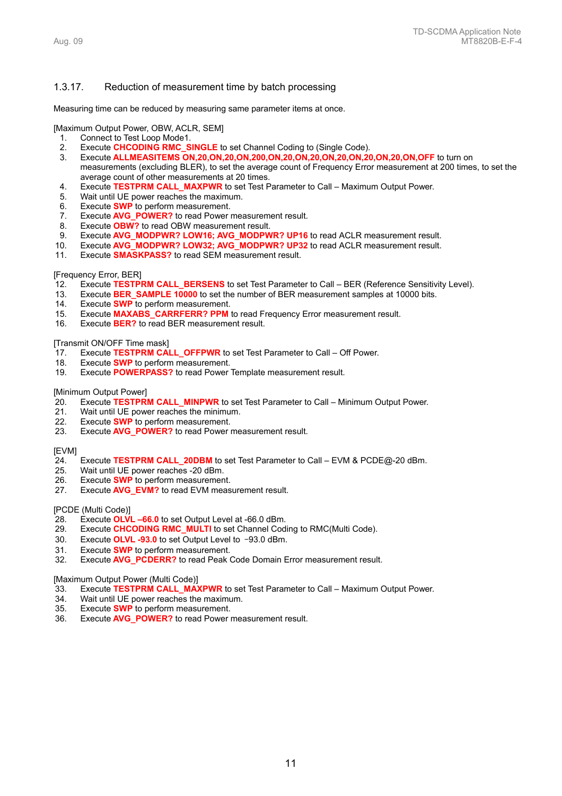#### 1.3.17. Reduction of measurement time by batch processing

Measuring time can be reduced by measuring same parameter items at once.

[Maximum Output Power, OBW, ACLR, SEM]

- 1. Connect to Test Loop Mode1.
- 2. Execute **CHCODING RMC\_SINGLE** to set Channel Coding to (Single Code).
- 3. Execute **ALLMEASITEMS ON,20,ON,20,ON,200,ON,20,ON,20,ON,20,ON,20,ON,20,ON,OFF** to turn on measurements (excluding BLER), to set the average count of Frequency Error measurement at 200 times, to set the average count of other measurements at 20 times.
- 4. Execute **TESTPRM CALL\_MAXPWR** to set Test Parameter to Call Maximum Output Power.
- 5. Wait until UE power reaches the maximum.
- 
- 6. Execute **SWP** to perform measurement.<br>7. Execute **AVG\_POWER?** to read Power Execute **AVG\_POWER?** to read Power measurement result.
- 8. Execute **OBW?** to read OBW measurement result.
- 9. Execute AVG MODPWR? LOW16; AVG MODPWR? UP16 to read ACLR measurement result.
- 10. Execute **AVG\_MODPWR? LOW32; AVG\_MODPWR? UP32** to read ACLR measurement result.
- 11. Execute **SMASKPASS?** to read SEM measurement result.

#### [Frequency Error, BER]

- 12. Execute **TESTPRM CALL\_BERSENS** to set Test Parameter to Call BER (Reference Sensitivity Level).
- 13. Execute **BER\_SAMPLE 10000** to set the number of BER measurement samples at 10000 bits.
- 14. Execute **SWP** to perform measurement.
- 15. Execute **MAXABS\_CARRFERR? PPM** to read Frequency Error measurement result.
- 16. Execute **BER?** to read BER measurement result.

#### [Transmit ON/OFF Time mask]

- 17. Execute **TESTPRM CALL\_OFFPWR** to set Test Parameter to Call Off Power.
- 18. Execute **SWP** to perform measurement.
- 19. Execute **POWERPASS?** to read Power Template measurement result.

#### [Minimum Output Power]

- 20. Execute **TESTPRM CALL\_MINPWR** to set Test Parameter to Call Minimum Output Power.
- 21. Wait until UE power reaches the minimum.
- 22. Execute **SWP** to perform measurement.<br>23. Execute **AVG POWER?** to read Power
- Execute **AVG\_POWER?** to read Power measurement result.

#### **IEVMI**

- 24. Execute **TESTPRM CALL\_20DBM** to set Test Parameter to Call EVM & PCDE@-20 dBm.
- Wait until UE power reaches -20 dBm.
- 26. Execute **SWP** to perform measurement.
- 27. Execute **AVG\_EVM?** to read EVM measurement result.

#### [PCDE (Multi Code)]

- 28. Execute **OLVL –66.0** to set Output Level at -66.0 dBm.
- 29. Execute **CHCODING RMC\_MULTI** to set Channel Coding to RMC(Multi Code).
- 30. Execute **OLVL -93.0** to set Output Level to –93.0 dBm.
- 31. Execute **SWP** to perform measurement.
- 32. Execute **AVG\_PCDERR?** to read Peak Code Domain Error measurement result.

[Maximum Output Power (Multi Code)]

- 33. Execute **TESTPRM CALL\_MAXPWR** to set Test Parameter to Call Maximum Output Power.
- 34. Wait until UE power reaches the maximum.<br>35. Execute **SWP** to perform measurement.
- Execute **SWP** to perform measurement.
- 36. Execute **AVG\_POWER?** to read Power measurement result.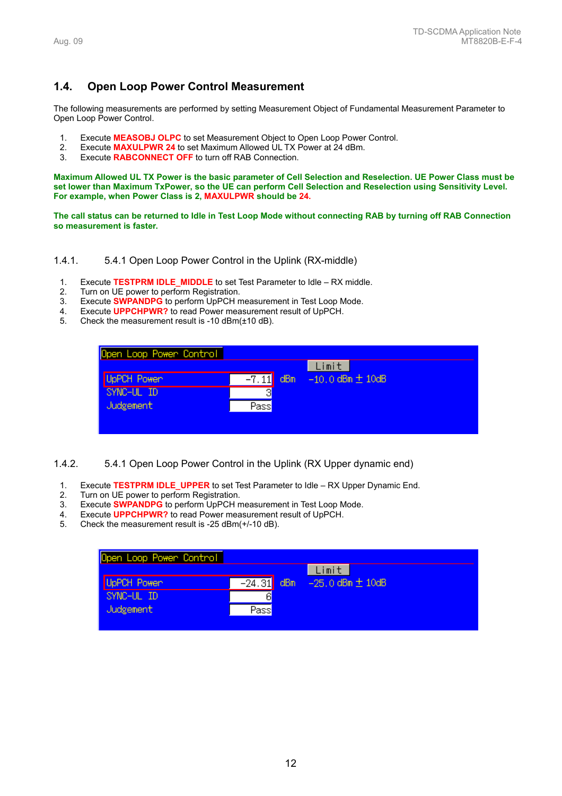# **1.4. Open Loop Power Control Measurement**

The following measurements are performed by setting Measurement Object of Fundamental Measurement Parameter to Open Loop Power Control.

- 1. Execute **MEASOBJ OLPC** to set Measurement Object to Open Loop Power Control.
- 2. Execute **MAXULPWR 24** to set Maximum Allowed UL TX Power at 24 dBm.
- 3. Execute **RABCONNECT OFF** to turn off RAB Connection.

**Maximum Allowed UL TX Power is the basic parameter of Cell Selection and Reselection. UE Power Class must be set lower than Maximum TxPower, so the UE can perform Cell Selection and Reselection using Sensitivity Level. For example, when Power Class is 2, MAXULPWR should be 24.**

**The call status can be returned to Idle in Test Loop Mode without connecting RAB by turning off RAB Connection so measurement is faster.** 

#### 1.4.1. 5.4.1 Open Loop Power Control in the Uplink (RX-middle)

- 1. Execute **TESTPRM IDLE\_MIDDLE** to set Test Parameter to Idle RX middle.
- 2. Turn on UE power to perform Registration.
- 3. Execute **SWPANDPG** to perform UpPCH measurement in Test Loop Mode.
- 4. Execute **UPPCHPWR?** to read Power measurement result of UpPCH.
- 5. Check the measurement result is -10 dBm(±10 dB).

| Open Loop Power Control |                |                        |
|-------------------------|----------------|------------------------|
|                         |                | Limit                  |
| UpPCH Power             | dBm<br>$-7.11$ | $-10,0$ dBm $\pm$ 10dB |
| SYNC-UL ID              | я              |                        |
| <b>Judgement</b>        | Pass           |                        |
|                         |                |                        |
|                         |                |                        |

# 1.4.2. 5.4.1 Open Loop Power Control in the Uplink (RX Upper dynamic end)

- 1. Execute **TESTPRM IDLE\_UPPER** to set Test Parameter to Idle RX Upper Dynamic End.
- 2. Turn on UE power to perform Registration.<br>3. Execute **SWPANDPG** to perform UpPCH m
- 3. Execute **SWPANDPG** to perform UpPCH measurement in Test Loop Mode.
- 4. Execute **UPPCHPWR?** to read Power measurement result of UpPCH.<br>5. Check the measurement result is -25 dBm(+/-10 dB)
- 5. Check the measurement result is -25 dBm(+/-10 dB).

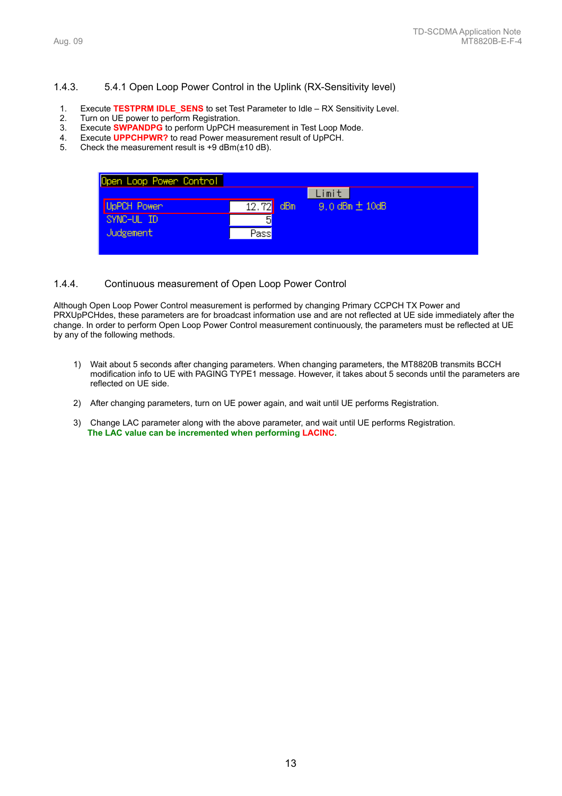#### 1.4.3. 5.4.1 Open Loop Power Control in the Uplink (RX-Sensitivity level)

- 1. Execute **TESTPRM IDLE\_SENS** to set Test Parameter to Idle RX Sensitivity Level.
- 2. Turn on UE power to perform Registration.
- 3. Execute **SWPANDPG** to perform UpPCH measurement in Test Loop Mode.
- 4. Execute **UPPCHPWR?** to read Power measurement result of UpPCH.
- 5. Check the measurement result is +9 dBm(±10 dB).

| Open Loop Power Control |       |     |                      |
|-------------------------|-------|-----|----------------------|
|                         |       |     | Limit                |
| UpPCH Power             | 12.72 | dBm | $9.0$ dBm $\pm$ 10dB |
| SYNC-UL ID              | 듸     |     |                      |
| Judgement               | Pass  |     |                      |
|                         |       |     |                      |

#### 1.4.4. Continuous measurement of Open Loop Power Control

Although Open Loop Power Control measurement is performed by changing Primary CCPCH TX Power and PRXUpPCHdes, these parameters are for broadcast information use and are not reflected at UE side immediately after the change. In order to perform Open Loop Power Control measurement continuously, the parameters must be reflected at UE by any of the following methods.

- 1) Wait about 5 seconds after changing parameters. When changing parameters, the MT8820B transmits BCCH modification info to UE with PAGING TYPE1 message. However, it takes about 5 seconds until the parameters are reflected on UE side.
- 2) After changing parameters, turn on UE power again, and wait until UE performs Registration.
- 3) Change LAC parameter along with the above parameter, and wait until UE performs Registration. **The LAC value can be incremented when performing LACINC.**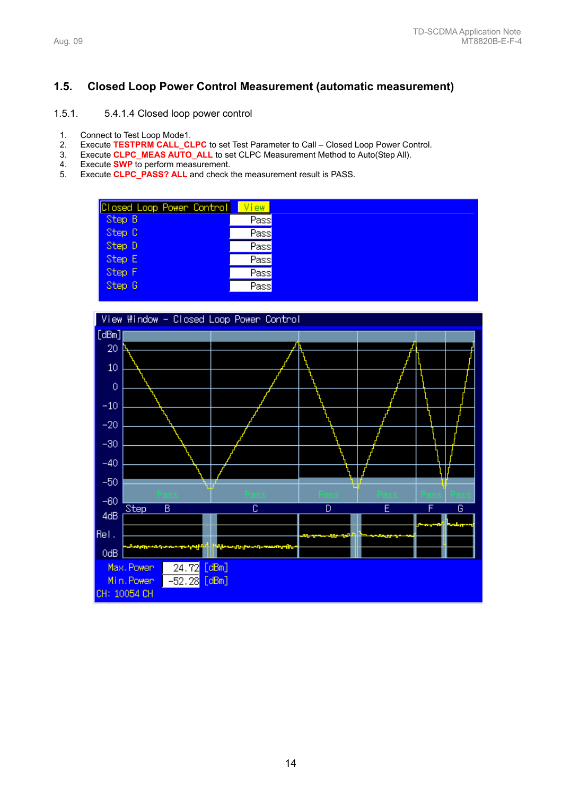# **1.5. Closed Loop Power Control Measurement (automatic measurement)**

# 1.5.1. 5.4.1.4 Closed loop power control

- 1. Connect to Test Loop Mode1.
- 2. Execute **TESTPRM CALL\_CLPC** to set Test Parameter to Call Closed Loop Power Control.<br>3. Execute CLPC\_MEAS AUTO\_ALL to set CLPC Measurement Method to Auto(Step All).
- Execute **CLPC\_MEAS AUTO\_ALL** to set CLPC Measurement Method to Auto(Step All).
- 4. Execute **SWP** to perform measurement.<br>5. Execute **CLPC PASS? ALL** and check t
- 5. Execute **CLPC\_PASS? ALL** and check the measurement result is PASS.

| Closed Loop Power Control | View    |
|---------------------------|---------|
| Step B                    | Pass    |
| Step C                    | $P$ ass |
| Step D                    | Pass    |
| Step E                    | Pass    |
| Step F                    | $P$ ass |
| Step G                    | $P$ ass |

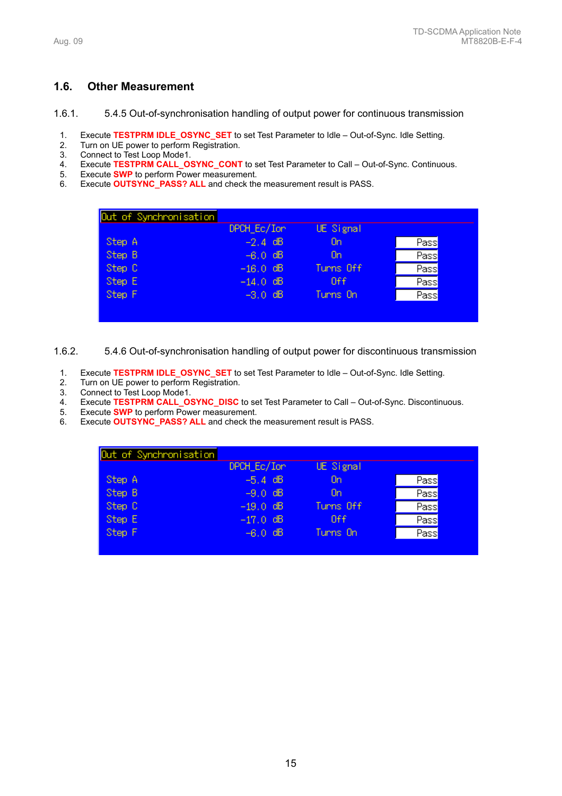# **1.6. Other Measurement**

1.6.1. 5.4.5 Out-of-synchronisation handling of output power for continuous transmission

- 1. Execute **TESTPRM IDLE\_OSYNC\_SET** to set Test Parameter to Idle Out-of-Sync. Idle Setting.
- 2. Turn on UE power to perform Registration.<br>3. Connect to Test Loop Mode1.
- 3. Connect to Test Loop Mode1.
- 4. Execute **TESTPRM CALL\_OSYNC\_CONT** to set Test Parameter to Call Out-of-Sync. Continuous.
- 5. Execute **SWP** to perform Power measurement.
- 6. Execute **OUTSYNC\_PASS? ALL** and check the measurement result is PASS.

|        | DPCH_Ec/Ion | UE Signal  |      |
|--------|-------------|------------|------|
| Step A | $-2.4$ dB   | <b>On</b>  | Pass |
| Step B | $-6.0$ dB   | On         | Pass |
| Step C | $-16.0$ dB  | Turns Off  | Pass |
| Step E | $-14.0$ dB  | <b>Off</b> | Pass |
| Step F | $-3.0$ dB   | Turns On   | Pass |

1.6.2. 5.4.6 Out-of-synchronisation handling of output power for discontinuous transmission

- 1. Execute **TESTPRM IDLE\_OSYNC\_SET** to set Test Parameter to Idle Out-of-Sync. Idle Setting.
- 2. Turn on UE power to perform Registration.
- 3. Connect to Test Loop Mode1.
- 4. Execute **TESTPRM CALL\_OSYNC\_DISC** to set Test Parameter to Call Out-of-Sync. Discontinuous.
- Execute **SWP** to perform Power measurement.
- 6. Execute **OUTSYNC\_PASS? ALL** and check the measurement result is PASS.

| Out of Synchronisation | DPCH_Ec/Ion | UE Signal |      |
|------------------------|-------------|-----------|------|
| Step A                 | $-5.4$ dB   | <b>On</b> | Pass |
| Step B                 | $-9.0$ dB   | <b>On</b> | Pass |
| Step C                 | $-19.0$ dB  | Turns Off | Pass |
| Step E                 | $-17.0$ dB  | Off       | Pass |
| Step F                 | $-6.0$ dB   | Turns On  | Pass |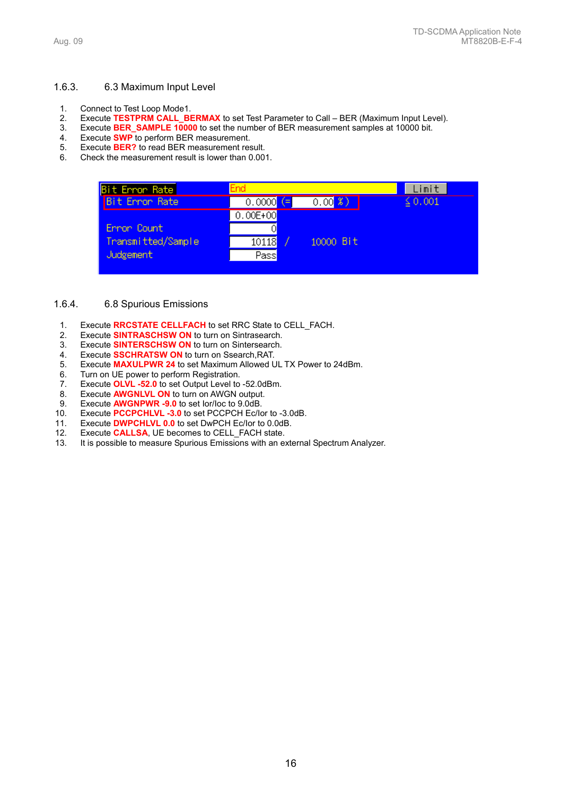#### 1.6.3. 6.3 Maximum Input Level

- 1. Connect to Test Loop Mode1.
- 2. Execute **TESTPRM CALL\_BERMAX** to set Test Parameter to Call BER (Maximum Input Level).
- 3. Execute **BER\_SAMPLE 10000** to set the number of BER measurement samples at 10000 bit.
- 4. Execute **SWP** to perform BER measurement.
- Execute **BER?** to read BER measurement result.
- 6. Check the measurement result is lower than 0.001.

| Bit Error Rate        | End          |           | imit         |
|-----------------------|--------------|-----------|--------------|
| <b>Bit Error Rate</b> | $0.0000$ (=  | 0.003     | $\leq$ 0.001 |
|                       | $0.00E + 00$ |           |              |
| Error Count           | O            |           |              |
| Transmitted/Sample    | 10118        | 10000 Bit |              |
| Judgement             | Pass         |           |              |
|                       |              |           |              |

## 1.6.4. 6.8 Spurious Emissions

- 1. Execute **RRCSTATE CELLFACH** to set RRC State to CELL\_FACH.
- 2. Execute **SINTRASCHSW ON** to turn on Sintrasearch.
- 3. Execute **SINTERSCHSW ON** to turn on Sintersearch.
- 
- 4. Execute **SSCHRATSW ON** to turn on Ssearch,RAT. 5. Execute **MAXULPWR 24** to set Maximum Allowed UL TX Power to 24dBm.
- 6. Turn on UE power to perform Registration.
- 7. Execute **OLVL -52.0** to set Output Level to -52.0dBm.
- 8. Execute **AWGNLVL ON** to turn on AWGN output.
- 9. Execute **AWGNPWR -9.0** to set Ior/Ioc to 9.0dB.
- 10. Execute **PCCPCHLVL -3.0** to set PCCPCH Ec/Ior to -3.0dB.
- 11. Execute **DWPCHLVL 0.0** to set DwPCH Ec/Ior to 0.0dB.<br>12. Execute **CALLSA**, UE becomes to CELL FACH state.
- Execute **CALLSA**, UE becomes to CELL FACH state.
- 13. It is possible to measure Spurious Emissions with an external Spectrum Analyzer.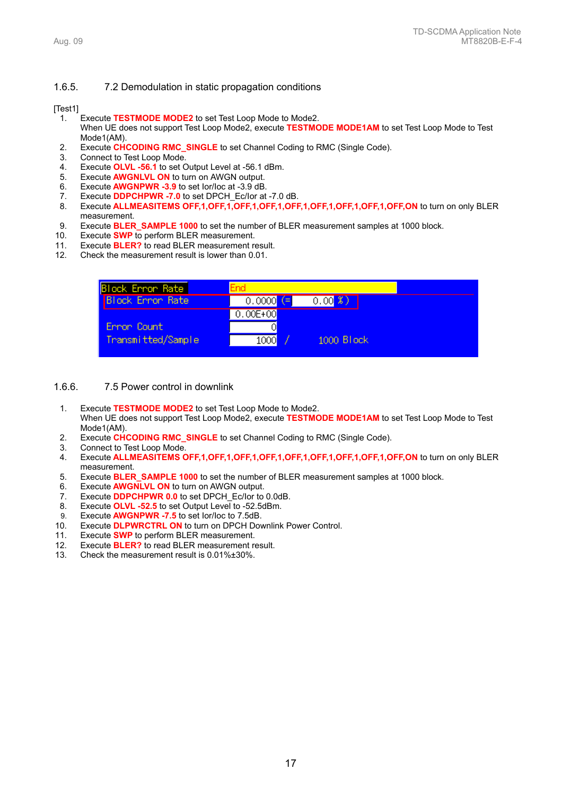#### 1.6.5. 7.2 Demodulation in static propagation conditions

#### [Test1]

- 1. Execute **TESTMODE MODE2** to set Test Loop Mode to Mode2. When UE does not support Test Loop Mode2, execute **TESTMODE MODE1AM** to set Test Loop Mode to Test
- Mode1(AM). 2. Execute **CHCODING RMC\_SINGLE** to set Channel Coding to RMC (Single Code).
- 3. Connect to Test Loop Mode.
- 4. Execute **OLVL -56.1** to set Output Level at -56.1 dBm.
- 5. Execute **AWGNLVL ON** to turn on AWGN output.
- 6. Execute **AWGNPWR -3.9** to set Ior/Ioc at -3.9 dB.
- 7. Execute **DDPCHPWR -7.0** to set DPCH\_Ec/Ior at -7.0 dB.
- 8. Execute **ALLMEASITEMS OFF,1,OFF,1,OFF,1,OFF,1,OFF,1,OFF,1,OFF,1,OFF,1,OFF,ON** to turn on only BLER measurement.
- 9. Execute **BLER\_SAMPLE 1000** to set the number of BLER measurement samples at 1000 block.
- 10. Execute **SWP** to perform BLER measurement.
- 11. Execute **BLER?** to read BLER measurement result.<br>12. Check the measurement result is lower than 0.01.
- 12. Check the measurement result is lower than 0.01.



#### 1.6.6. 7.5 Power control in downlink

- 1. Execute **TESTMODE MODE2** to set Test Loop Mode to Mode2. When UE does not support Test Loop Mode2, execute **TESTMODE MODE1AM** to set Test Loop Mode to Test Mode1(AM).
- 2. Execute **CHCODING RMC\_SINGLE** to set Channel Coding to RMC (Single Code).
- 3. Connect to Test Loop Mode.
- 4. Execute **ALLMEASITEMS OFF,1,OFF,1,OFF,1,OFF,1,OFF,1,OFF,1,OFF,1,OFF,1,OFF,ON** to turn on only BLER measurement.
- 5. Execute **BLER\_SAMPLE 1000** to set the number of BLER measurement samples at 1000 block.
- 6. Execute **AWGNLVL ON** to turn on AWGN output.
- 7. Execute **DDPCHPWR 0.0** to set DPCH\_Ec/Ior to 0.0dB.
- 8. Execute **OLVL -52.5** to set Output Level to -52.5dBm.
- 9. Execute **AWGNPWR -7.5** to set Ior/Ioc to 7.5dB.
- 10. Execute **DLPWRCTRL ON** to turn on DPCH Downlink Power Control.
- 11. Execute **SWP** to perform BLER measurement.
- 12. Execute **BLER?** to read BLER measurement result.
- 13. Check the measurement result is 0.01%±30%.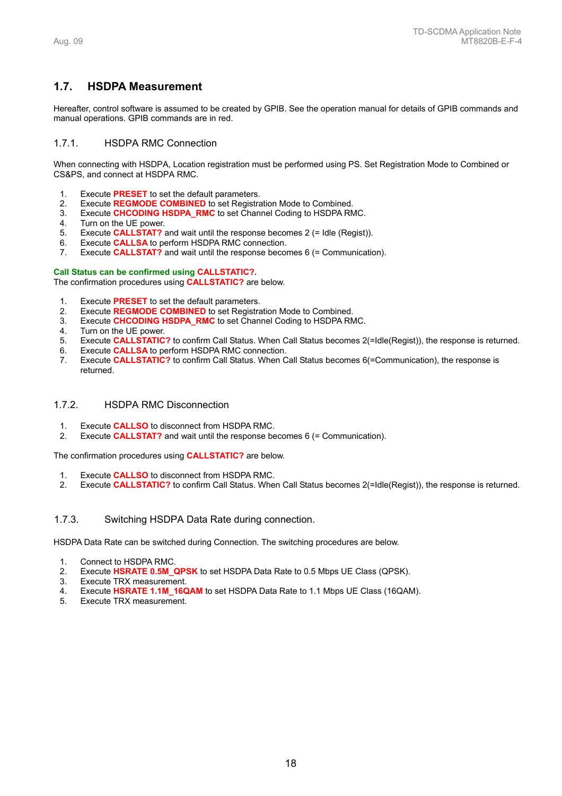# **1.7. HSDPA Measurement**

Hereafter, control software is assumed to be created by GPIB. See the operation manual for details of GPIB commands and manual operations. GPIB commands are in red.

# 1.7.1. HSDPA RMC Connection

When connecting with HSDPA, Location registration must be performed using PS. Set Registration Mode to Combined or CS&PS, and connect at HSDPA RMC.

- 1. Execute **PRESET** to set the default parameters.
- 2. Execute **REGMODE COMBINED** to set Registration Mode to Combined.
- 3. Execute **CHCODING HSDPA\_RMC** to set Channel Coding to HSDPA RMC.
- 4. Turn on the UE power.
- 5. Execute **CALLSTAT?** and wait until the response becomes 2 (= Idle (Regist)).
- 6. Execute **CALLSA** to perform HSDPA RMC connection.
- 7. Execute **CALLSTAT?** and wait until the response becomes 6 (= Communication).

#### **Call Status can be confirmed using CALLSTATIC?.**

The confirmation procedures using **CALLSTATIC?** are below.

- 1. Execute **PRESET** to set the default parameters.
- 2. Execute **REGMODE COMBINED** to set Registration Mode to Combined.
- 3. Execute **CHCODING HSDPA\_RMC** to set Channel Coding to HSDPA RMC.
- 4. Turn on the UE power.
- 5. Execute **CALLSTATIC?** to confirm Call Status. When Call Status becomes 2(=Idle(Regist)), the response is returned.
- 6. Execute **CALLSA** to perform HSDPA RMC connection.
- 7. Execute **CALLSTATIC?** to confirm Call Status. When Call Status becomes 6(=Communication), the response is returned.

# 1.7.2. HSDPA RMC Disconnection

- 1. Execute **CALLSO** to disconnect from HSDPA RMC.
- 2. Execute **CALLSTAT?** and wait until the response becomes 6 (= Communication).

The confirmation procedures using **CALLSTATIC?** are below.

- 1. Execute **CALLSO** to disconnect from HSDPA RMC.
- 2. Execute **CALLSTATIC?** to confirm Call Status. When Call Status becomes 2(=Idle(Regist)), the response is returned.

# 1.7.3. Switching HSDPA Data Rate during connection.

HSDPA Data Rate can be switched during Connection. The switching procedures are below.

- 1. Connect to HSDPA RMC.
- 2. Execute **HSRATE 0.5M\_QPSK** to set HSDPA Data Rate to 0.5 Mbps UE Class (QPSK).
- 3. Execute TRX measurement.
- 4. Execute **HSRATE 1.1M\_16QAM** to set HSDPA Data Rate to 1.1 Mbps UE Class (16QAM).
- Execute TRX measurement.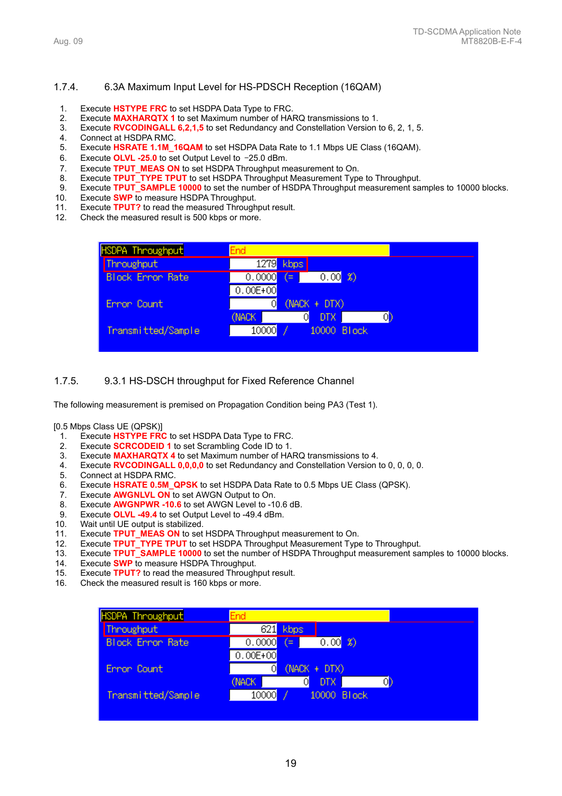#### 1.7.4. 6.3A Maximum Input Level for HS-PDSCH Reception (16QAM)

- 1. Execute **HSTYPE FRC** to set HSDPA Data Type to FRC.
- 2. Execute **MAXHARQTX 1** to set Maximum number of HARQ transmissions to 1.
- 3. Execute **RVCODINGALL 6,2,1,5** to set Redundancy and Constellation Version to 6, 2, 1, 5.
- 4. Connect at HSDPA RMC.
- 5. Execute **HSRATE 1.1M\_16QAM** to set HSDPA Data Rate to 1.1 Mbps UE Class (16QAM).
- 6. Execute **OLVL -25.0** to set Output Level to –25.0 dBm.
- 7. Execute **TPUT\_MEAS ON** to set HSDPA Throughput measurement to On.
- 8. Execute **TPUT\_TYPE TPUT** to set HSDPA Throughput Measurement Type to Throughput.
- 9. Execute **TPUT\_SAMPLE 10000** to set the number of HSDPA Throughput measurement samples to 10000 blocks.
- 10. Execute **SWP** to measure HSDPA Throughput.
- 11. Execute **TPUT?** to read the measured Throughput result.
- 12. Check the measured result is 500 kbps or more.

| HSDPA Throughput        | End                    |
|-------------------------|------------------------|
| Throughput              | 1279 kbps              |
| <b>Block Ennon Rate</b> | 0.008<br>0.0000<br>í≕. |
|                         | $0.00E + 00$           |
| Ennon Count             | (NACK + DTX)<br>Οl     |
|                         | (NACK<br>DTX.<br>O     |
| Transmitted/Sample      | 10000<br>10000 Block   |
|                         |                        |

#### 1.7.5. 9.3.1 HS-DSCH throughput for Fixed Reference Channel

The following measurement is premised on Propagation Condition being PA3 (Test 1).

#### [0.5 Mbps Class UE (QPSK)]

- 1. Execute **HSTYPE FRC** to set HSDPA Data Type to FRC.
- 2. Execute **SCRCODEID 1** to set Scrambling Code ID to 1.
- 3. Execute **MAXHARQTX 4** to set Maximum number of HARQ transmissions to 4.
- 4. Execute **RVCODINGALL 0,0,0,0** to set Redundancy and Constellation Version to 0, 0, 0, 0.
- 5. Connect at HSDPA RMC.
- 6. Execute **HSRATE 0.5M\_QPSK** to set HSDPA Data Rate to 0.5 Mbps UE Class (QPSK).
- 7. Execute **AWGNLVL ON** to set AWGN Output to On.
- 8. Execute **AWGNPWR -10.6** to set AWGN Level to -10.6 dB.
- 9. Execute **OLVL -49.4** to set Output Level to -49.4 dBm.
- 10. Wait until UE output is stabilized.
- 11. Execute **TPUT\_MEAS ON** to set HSDPA Throughput measurement to On.
- 12. Execute **TPUT\_TYPE TPUT** to set HSDPA Throughput Measurement Type to Throughput.
- 13. Execute **TPUT\_SAMPLE 10000** to set the number of HSDPA Throughput measurement samples to 10000 blocks.
- Execute **SWP** to measure HSDPA Throughput.
- 15. Execute **TPUT?** to read the measured Throughput result.
- 16. Check the measured result is 160 kbps or more.

| <b>HSDPA Throughput</b> | <b>End</b>                      |
|-------------------------|---------------------------------|
| Throughput              | 621<br>kbps                     |
| <b>Block Ennon Rate</b> | $0.00$ \ \ 3)<br>0.0000<br>(= ) |
|                         | $0.00E + 00$                    |
| Ennon Count             | (NACK + DTX)                    |
|                         | (NACK)<br>DTX.<br>OD            |
| Transmitted/Sample      | 10000<br>10000 Block            |
|                         |                                 |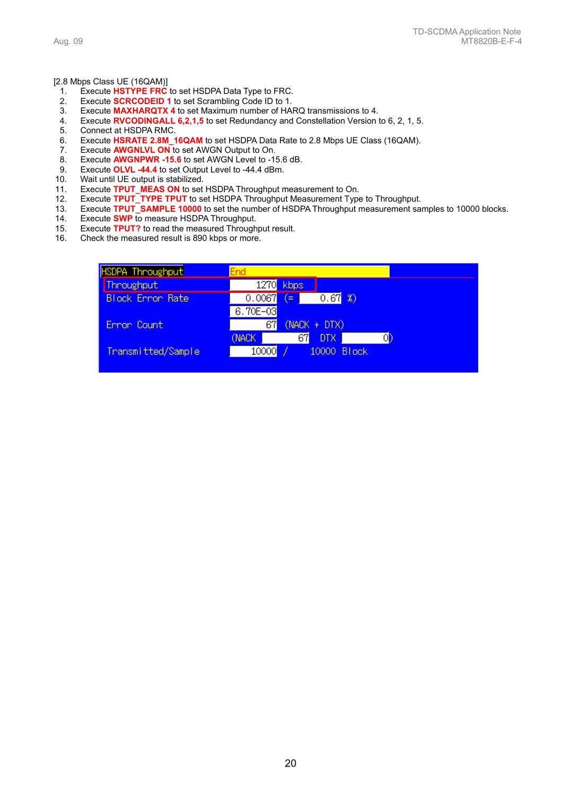#### [2.8 Mbps Class UE (16QAM)]

- 1. Execute **HSTYPE FRC** to set HSDPA Data Type to FRC.
- 2. Execute **SCRCODEID 1** to set Scrambling Code ID to 1.
- 3. Execute **MAXHARQTX 4** to set Maximum number of HARQ transmissions to 4.
- 4. Execute **RVCODINGALL 6,2,1,5** to set Redundancy and Constellation Version to 6, 2, 1, 5.
- Connect at HSDPA RMC.
- 6. Execute **HSRATE 2.8M\_16QAM** to set HSDPA Data Rate to 2.8 Mbps UE Class (16QAM).
- 7. Execute **AWGNLVL ON** to set AWGN Output to On.<br>8. Execute **AWGNPWR -15.6** to set AWGN Level to -1
- 8. Execute **AWGNPWR -15.6** to set AWGN Level to -15.6 dB.<br>9. Execute OLVL -44.4 to set Output Level to -44.4 dBm.
- Execute OLVL -44.4 to set Output Level to -44.4 dBm.
- 10. Wait until UE output is stabilized.
- 11. Execute **TPUT\_MEAS ON** to set HSDPA Throughput measurement to On.
- 12. Execute **TPUT\_TYPE TPUT** to set HSDPA Throughput Measurement Type to Throughput.
- 13. Execute **TPUT\_SAMPLE 10000** to set the number of HSDPA Throughput measurement samples to 10000 blocks.
- Execute **SWP** to measure HSDPA Throughput.
- 15. Execute **TPUT?** to read the measured Throughput result.
- 16. Check the measured result is 890 kbps or more.

| HSDPA Throughput <mark>l</mark> | End                        |
|---------------------------------|----------------------------|
| Throughput                      | 1270 kbps                  |
| <b>Block Ennon Rate</b>         | 0.673)<br>0.0067<br>′≕     |
|                                 | $6.70E - 03$               |
| Ennon Count                     | $(NACK + DTX)$<br>67       |
|                                 | 67<br>(NACK)<br>DTX.<br>0ľ |
| Transmitted/Sample              | 10000<br>10000 Block       |
|                                 |                            |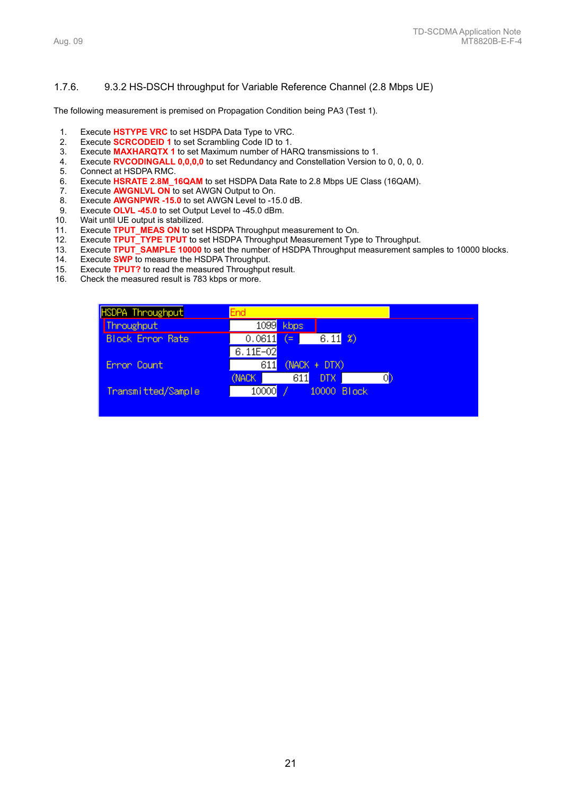# 1.7.6. 9.3.2 HS-DSCH throughput for Variable Reference Channel (2.8 Mbps UE)

The following measurement is premised on Propagation Condition being PA3 (Test 1).

- 
- 1. Execute **HSTYPE VRC** to set HSDPA Data Type to VRC.<br>2. Execute **SCRCODEID 1** to set Scrambling Code ID to 1. 2. Execute **SCRCODEID 1** to set Scrambling Code ID to 1.
- 3. Execute **MAXHARQTX 1** to set Maximum number of HARQ transmissions to 1.
- 4. Execute **RVCODINGALL 0,0,0,0** to set Redundancy and Constellation Version to 0, 0, 0, 0.
- 5. Connect at HSDPA RMC.<br>6. Execute **HSRATE 2.8M 1**
- Execute HSRATE 2.8M\_16QAM to set HSDPA Data Rate to 2.8 Mbps UE Class (16QAM).
- 7. Execute **AWGNLVL ON** to set AWGN Output to On.
- 8. Execute **AWGNPWR -15.0** to set AWGN Level to -15.0 dB.
- 9. Execute **OLVL -45.0** to set Output Level to -45.0 dBm.
- 10. Wait until UE output is stabilized.
- 11. Execute **TPUT\_MEAS ON** to set HSDPA Throughput measurement to On.
- 12. Execute **TPUT\_TYPE TPUT** to set HSDPA Throughput Measurement Type to Throughput.
- 13. Execute **TPUT\_SAMPLE 10000** to set the number of HSDPA Throughput measurement samples to 10000 blocks.
- 14. Execute **SWP** to measure the HSDPA Throughput.
- 15. Execute **TPUT?** to read the measured Throughput result.
- 16. Check the measured result is 783 kbps or more.

| <b>HSDPA Throughput</b> | End                               |
|-------------------------|-----------------------------------|
| Throughput              | 1099 kbps                         |
| <b>Block Error Rate</b> | $6.11$ $\bm{3}$<br>0.0611<br>(=)  |
|                         | $6.11E - 02$                      |
| Error Count             | (NACK + DTX)<br>611               |
|                         | 611<br>(NACK)<br><b>DTX</b><br>OD |
| Transmitted/Sample      | 10000<br>10000 Block              |
|                         |                                   |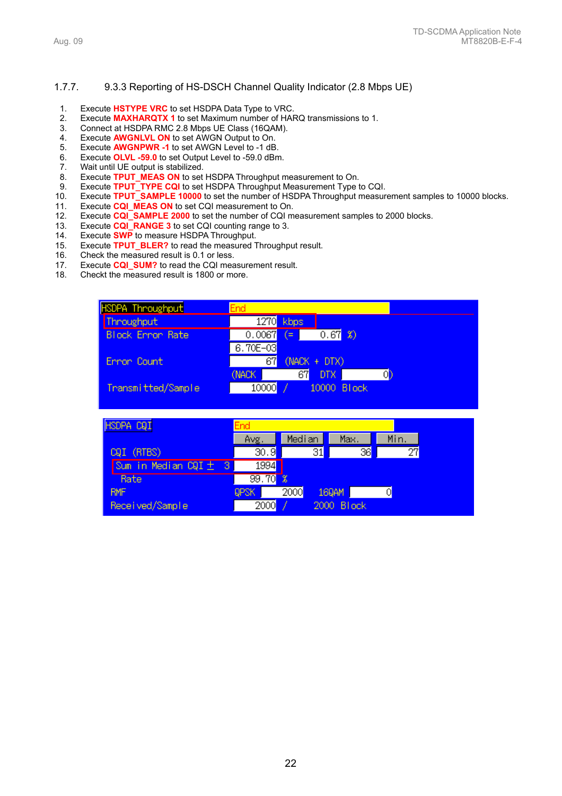# 1.7.7. 9.3.3 Reporting of HS-DSCH Channel Quality Indicator (2.8 Mbps UE)

- 1. Execute **HSTYPE VRC** to set HSDPA Data Type to VRC.
- 2. Execute **MAXHARQTX 1** to set Maximum number of HARQ transmissions to 1.
- 3. Connect at HSDPA RMC 2.8 Mbps UE Class (16QAM).
- 4. Execute **AWGNLVL ON** to set AWGN Output to On.
- 5. Execute **AWGNPWR -1** to set AWGN Level to -1 dB.
- Execute **OLVL -59.0** to set Output Level to -59.0 dBm.
- 7. Wait until UE output is stabilized.
- 8. Execute **TPUT\_MEAS ON** to set HSDPA Throughput measurement to On.<br>9. Execute **TPUT TYPE CQI** to set HSDPA Throughput Measurement Type to
- 9. Execute **TPUT\_TYPE CQI** to set HSDPA Throughput Measurement Type to CQI.
- 10. Execute **TPUT\_SAMPLE 10000** to set the number of HSDPA Throughput measurement samples to 10000 blocks.
- 11. Execute **CQI MEAS ON** to set CQI measurement to On.
- 12. Execute **CQI\_SAMPLE 2000** to set the number of CQI measurement samples to 2000 blocks.
- 13. Execute **CQI\_RANGE 3** to set CQI counting range to 3.
- 14. Execute **SWP** to measure HSDPA Throughput.
- 15. Execute **TPUT\_BLER?** to read the measured Throughput result.
- Check the measured result is 0.1 or less.
- 17. Execute **CQI\_SUM?** to read the CQI measurement result.
- 18. Checkt the measured result is 1800 or more.



| HSDPA CQI                          | End               |                            |            |      |  |
|------------------------------------|-------------------|----------------------------|------------|------|--|
|                                    | Avg.              | Median                     | Max.       | Min. |  |
| CQI (RTBS)                         | $\overline{30.9}$ | 31                         | 36         | 27   |  |
| Sum in Median CQI ±<br><b>A</b> 37 | 1994              |                            |            |      |  |
| Rate                               | 99.70             | $\boldsymbol{\mathcal{E}}$ |            |      |  |
| <b>RMF</b>                         | <b>QPSK</b>       | 2000                       | 169AM      | 0    |  |
| Received/Sample                    | 2000              |                            | 2000 Block |      |  |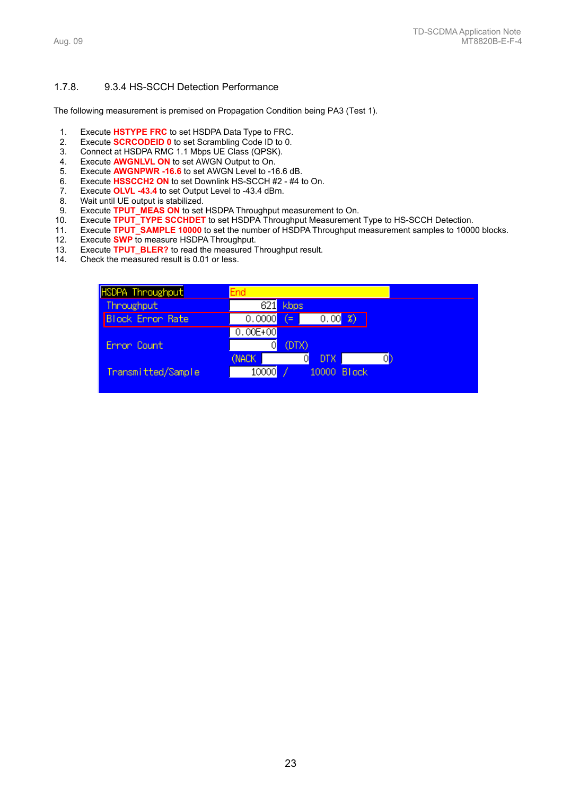## 1.7.8. 9.3.4 HS-SCCH Detection Performance

The following measurement is premised on Propagation Condition being PA3 (Test 1).

- 1. Execute **HSTYPE FRC** to set HSDPA Data Type to FRC.<br>2. Execute **SCRCODEID 0** to set Scrambling Code ID to 0.
- 2. Execute **SCRCODEID 0** to set Scrambling Code ID to 0.
- 3. Connect at HSDPA RMC 1.1 Mbps UE Class (QPSK).
- 4. Execute **AWGNLVL ON** to set AWGN Output to On.
- 5. Execute **AWGNPWR -16.6** to set AWGN Level to -16.6 dB.<br>6. Execute HSSCCH2 ON to set Downlink HS-SCCH #2 #4 t
- 6. Execute HSSCCH2 ON to set Downlink HS-SCCH #2 #4 to On.<br>7. Execute OLVL -43.4 to set Output Level to -43.4 dBm.
- Execute OLVL -43.4 to set Output Level to -43.4 dBm.
- 8. Wait until UE output is stabilized.
- 9. Execute **TPUT\_MEAS ON** to set HSDPA Throughput measurement to On.
- 10. Execute **TPUT\_TYPE SCCHDET** to set HSDPA Throughput Measurement Type to HS-SCCH Detection.
- 11. Execute **TPUT\_SAMPLE 10000** to set the number of HSDPA Throughput measurement samples to 10000 blocks.
- 12. Execute **SWP** to measure HSDPA Throughput.
- 13. Execute **TPUT\_BLER?** to read the measured Throughput result.
- 14. Check the measured result is 0.01 or less.

| HSDPA Throughput        | End                            |
|-------------------------|--------------------------------|
| Throughput              | 621<br>kbps                    |
| <b>Block Error Rate</b> | 0.0000<br>′=                   |
|                         | $0.00E + 00$                   |
| Ennon Count             | (DTX)                          |
|                         | (NACK<br><b>DTX</b>            |
| Transmitted/Sample      | 10000<br><b>Block</b><br>10000 |
|                         |                                |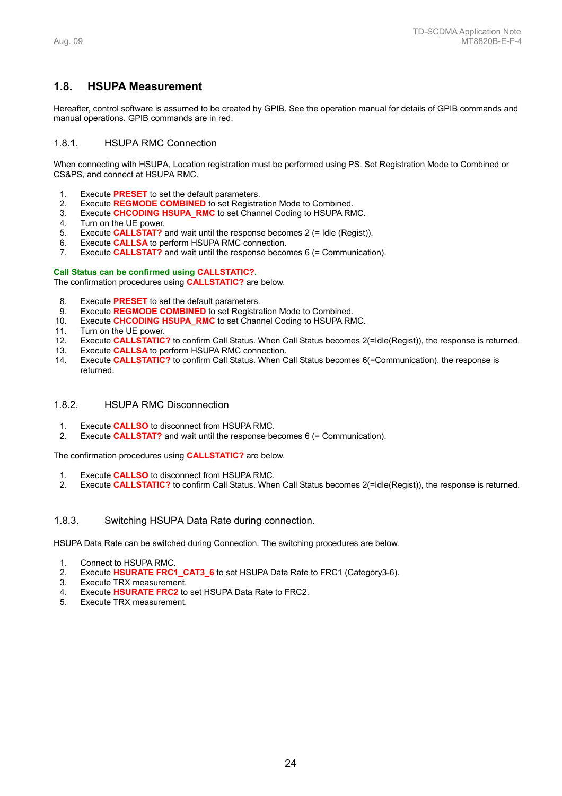# **1.8. HSUPA Measurement**

Hereafter, control software is assumed to be created by GPIB. See the operation manual for details of GPIB commands and manual operations. GPIB commands are in red.

# 1.8.1. HSUPA RMC Connection

When connecting with HSUPA, Location registration must be performed using PS. Set Registration Mode to Combined or CS&PS, and connect at HSUPA RMC.

- 1. Execute **PRESET** to set the default parameters.
- 2. Execute **REGMODE COMBINED** to set Registration Mode to Combined.
- 3. Execute **CHCODING HSUPA\_RMC** to set Channel Coding to HSUPA RMC.
- 4. Turn on the UE power.
- 5. Execute **CALLSTAT?** and wait until the response becomes 2 (= Idle (Regist)).
- 6. Execute **CALLSA** to perform HSUPA RMC connection.
- 7. Execute **CALLSTAT?** and wait until the response becomes 6 (= Communication).

#### **Call Status can be confirmed using CALLSTATIC?.**

The confirmation procedures using **CALLSTATIC?** are below.

- 8. Execute **PRESET** to set the default parameters.
- 9. Execute **REGMODE COMBINED** to set Registration Mode to Combined.
- 10. Execute **CHCODING HSUPA\_RMC** to set Channel Coding to HSUPA RMC.
- 11. Turn on the UE power.
- 12. Execute **CALLSTATIC?** to confirm Call Status. When Call Status becomes 2(=Idle(Regist)), the response is returned.
- 13. Execute **CALLSA** to perform HSUPA RMC connection.
- 14. Execute **CALLSTATIC?** to confirm Call Status. When Call Status becomes 6(=Communication), the response is returned.

# 1.8.2. HSUPA RMC Disconnection

- 1. Execute **CALLSO** to disconnect from HSUPA RMC.
- 2. Execute **CALLSTAT?** and wait until the response becomes 6 (= Communication).

The confirmation procedures using **CALLSTATIC?** are below.

- 1. Execute **CALLSO** to disconnect from HSUPA RMC.
- 2. Execute **CALLSTATIC?** to confirm Call Status. When Call Status becomes 2(=Idle(Regist)), the response is returned.

# 1.8.3. Switching HSUPA Data Rate during connection.

HSUPA Data Rate can be switched during Connection. The switching procedures are below.

- 1. Connect to HSUPA RMC.
- 2. Execute **HSURATE FRC1\_CAT3\_6** to set HSUPA Data Rate to FRC1 (Category3-6).
- 3. Execute TRX measurement.
- 4. Execute **HSURATE FRC2** to set HSUPA Data Rate to FRC2.
- 5. Execute TRX measurement.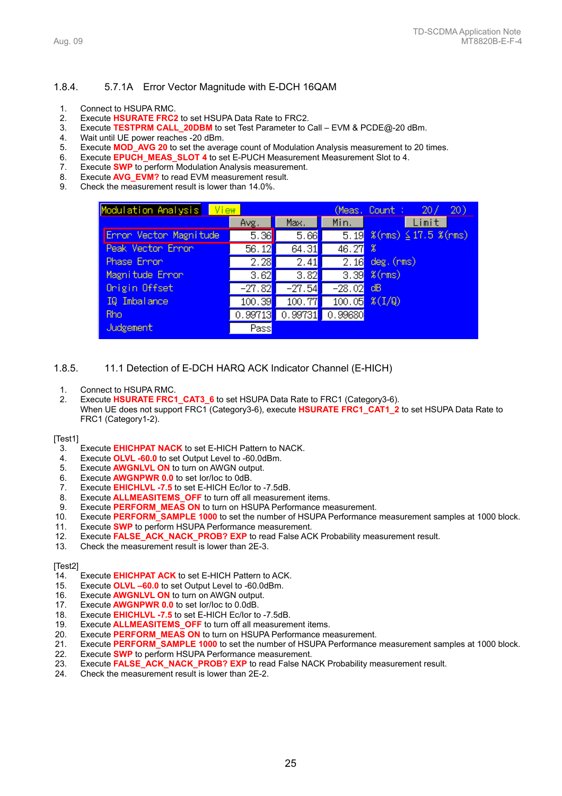# 1.8.4. 5.7.1A Error Vector Magnitude with E-DCH 16QAM

- 1. Connect to HSUPA RMC.
- 2. Execute **HSURATE FRC2** to set HSUPA Data Rate to FRC2.
- 3. Execute **TESTPRM CALL\_20DBM** to set Test Parameter to Call EVM & PCDE@-20 dBm.
- 4. Wait until UE power reaches -20 dBm.
- 5. Execute **MOD\_AVG 20** to set the average count of Modulation Analysis measurement to 20 times.
- 6. Execute **EPUCH MEAS SLOT 4** to set E-PUCH Measurement Measurement Slot to 4.
- 7. Execute **SWP** to perform Modulation Analysis measurement.
- 8. Execute **AVG EVM?** to read EVM measurement result.
- 9. Check the measurement result is lower than 14.0%.

| Modulation Analysis View |                     |                   |                   | 20)<br>(Meas, Count :<br>20/             |
|--------------------------|---------------------|-------------------|-------------------|------------------------------------------|
|                          | Avg.                | Max.              | Min.              | Limit                                    |
| Error Vector Magnitude   | 5.36                | 5.66              |                   | $5.19 \; %$ (rms) $\leq 17.5 \; %$ (rms) |
| Peak Vector Error        | 56.12               | 64.31             | 46.27             | 8                                        |
| Phase Ennon              | $\overline{2.28}$   | $\overline{2.41}$ | $\overline{2.16}$ | deg.(rms)                                |
| Magnitude Ennon          | $\overline{3.62}$   | 3.82              | 3.39              | $%$ (rms)                                |
| Onigin Offset            | $-27.82$            | $-27.54$          | $-28.02$          | dB                                       |
| IQ Imbalance             | $\overline{100.39}$ | 100.77            | 100.05            | $*(1/9)$                                 |
| <b>Rho</b>               | 0.99713             | 0.99731           | 0.99680           |                                          |
| Judgement                | Pass                |                   |                   |                                          |

1.8.5. 11.1 Detection of E-DCH HARQ ACK Indicator Channel (E-HICH)

- 1. Connect to HSUPA RMC.
- 2. Execute **HSURATE FRC1\_CAT3\_6** to set HSUPA Data Rate to FRC1 (Category3-6). When UE does not support FRC1 (Category3-6), execute **HSURATE FRC1\_CAT1\_2** to set HSUPA Data Rate to FRC1 (Category1-2).

#### [Test1]

- 3. Execute **EHICHPAT NACK** to set E-HICH Pattern to NACK.
- 4. Execute **OLVL -60.0** to set Output Level to -60.0dBm.
- 5. Execute **AWGNLVL ON** to turn on AWGN output.
- 6. Execute **AWGNPWR 0.0** to set Ior/Ioc to 0dB.
- 7. Execute **EHICHLVL -7.5** to set E-HICH Ec/Ior to -7.5dB.
- 8. Execute **ALLMEASITEMS\_OFF** to turn off all measurement items.
- 9. Execute **PERFORM\_MEAS ON** to turn on HSUPA Performance measurement.
- 10. Execute **PERFORM\_SAMPLE 1000** to set the number of HSUPA Performance measurement samples at 1000 block.
- 11. Execute **SWP** to perform HSUPA Performance measurement.
- 12. Execute **FALSE\_ACK\_NACK\_PROB? EXP** to read False ACK Probability measurement result.
- 13. Check the measurement result is lower than 2E-3.

# [Test2]

- Execute **EHICHPAT ACK** to set E-HICH Pattern to ACK.
- 15. Execute **OLVL –60.0** to set Output Level to -60.0dBm.
- 16. Execute **AWGNLVL ON** to turn on AWGN output.
- 17. Execute **AWGNPWR 0.0** to set Ior/Ioc to 0.0dB.
- 18. Execute **EHICHLVL -7.5** to set E-HICH Ec/Ior to -7.5dB.
- 19. Execute **ALLMEASITEMS\_OFF** to turn off all measurement items.
- 20. Execute **PERFORM\_MEAS ON** to turn on HSUPA Performance measurement.
- 21. Execute **PERFORM\_SAMPLE 1000** to set the number of HSUPA Performance measurement samples at 1000 block.
- 22. Execute **SWP** to perform HSUPA Performance measurement.
- 23. Execute **FALSE\_ACK\_NACK\_PROB? EXP** to read False NACK Probability measurement result.
- 24. Check the measurement result is lower than 2E-2.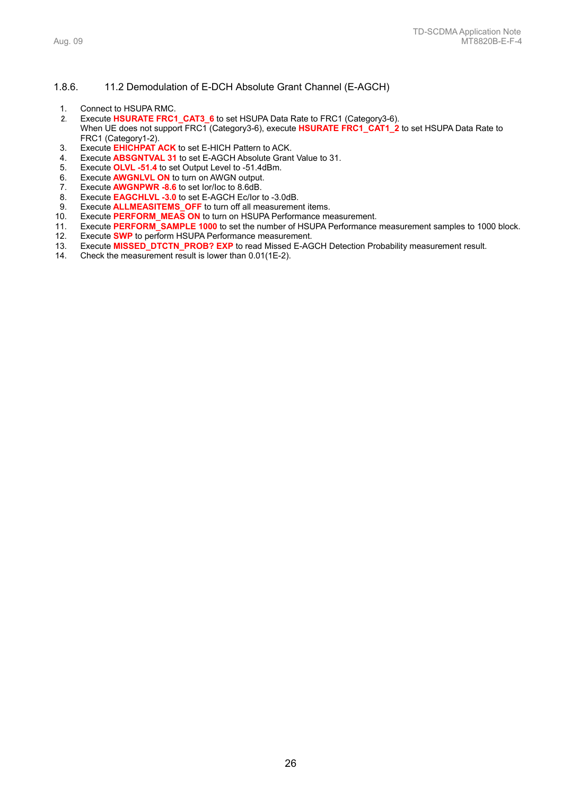## 1.8.6. 11.2 Demodulation of E-DCH Absolute Grant Channel (E-AGCH)

- 1. Connect to HSUPA RMC.
- 2. Execute **HSURATE FRC1\_CAT3\_6** to set HSUPA Data Rate to FRC1 (Category3-6). When UE does not support FRC1 (Category3-6), execute HSURATE FRC1\_CAT1\_2 to set HSUPA Data Rate to FRC1 (Category1-2).
- 3. Execute **EHICHPAT ACK** to set E-HICH Pattern to ACK.
- 4. Execute **ABSGNTVAL 31** to set E-AGCH Absolute Grant Value to 31.
- 5. Execute **OLVL -51.4** to set Output Level to -51.4dBm.
- 6. Execute **AWGNLVL ON** to turn on AWGN output.
- 7. Execute **AWGNPWR -8.6** to set lor/loc to 8.6dB.<br>8. Execute **EAGCHLVL -3.0** to set E-AGCH Ec/lor
- Execute **EAGCHLVL -3.0** to set E-AGCH Ec/Ior to -3.0dB.
- 9. Execute **ALLMEASITEMS\_OFF** to turn off all measurement items.
- 
- 10. Execute **PERFORM\_MEAS ON** to turn on HSUPA Performance measurement.<br>11. Execute **PERFORM\_SAMPLE 1000** to set the number of HSUPA Performance Execute **PERFORM\_SAMPLE 1000** to set the number of HSUPA Performance measurement samples to 1000 block.
- 12. Execute **SWP** to perform HSUPA Performance measurement.
- 13. Execute **MISSED\_DTCTN\_PROB? EXP** to read Missed E-AGCH Detection Probability measurement result.
- Check the measurement result is lower than  $0.01(1E-2)$ .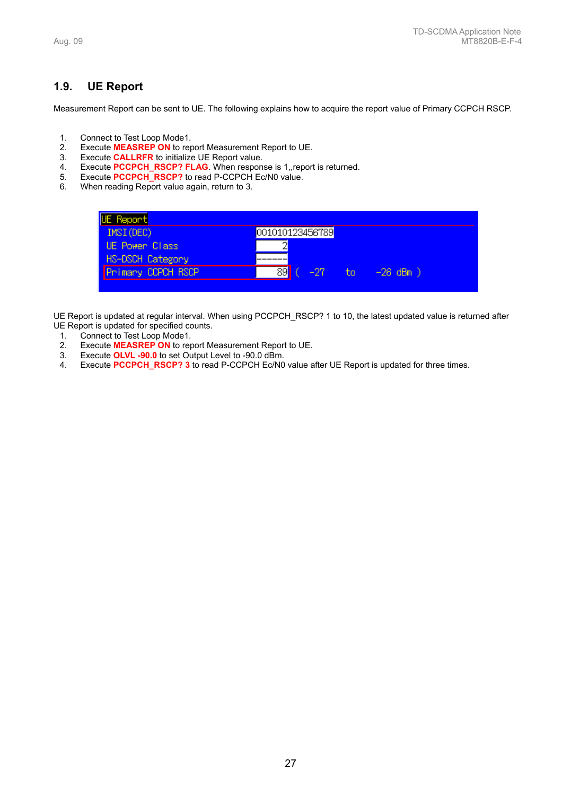# **1.9. UE Report**

Measurement Report can be sent to UE. The following explains how to acquire the report value of Primary CCPCH RSCP.

- 
- 1. Connect to Test Loop Mode1.<br>2. Execute **MEASREP ON** to rep 2. Execute **MEASREP ON** to report Measurement Report to UE.
- 3. Execute **CALLRFR** to initialize UE Report value.
- 4. Execute **PCCPCH\_RSCP? FLAG**. When response is 1,,report is returned.<br>5. Execute **PCCPCH\_RSCP?** to read P-CCPCH Ec/N0 value.
- 5. Execute **PCCPCH\_RSCP?** to read P-CCPCH Ec/N0 value.<br>6. When reading Report value again, return to 3.
- When reading Report value again, return to 3.



UE Report is updated at regular interval. When using PCCPCH\_RSCP? 1 to 10, the latest updated value is returned after UE Report is updated for specified counts.

- 1. Connect to Test Loop Mode1.<br>2. Execute MEASREP ON to ret
- 2. Execute **MEASREP ON** to report Measurement Report to UE.
- 
- 3. Execute **OLVL -90.0** to set Output Level to -90.0 dBm.<br>4. Execute **PCCPCH RSCP? 3** to read P-CCPCH Ec/N0 Execute **PCCPCH\_RSCP? 3** to read P-CCPCH Ec/N0 value after UE Report is updated for three times.